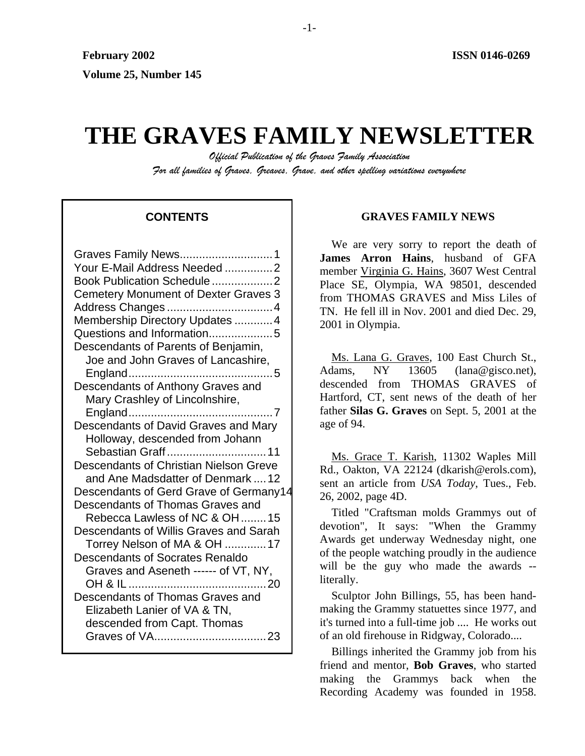# **THE GRAVES FAMILY NEWSLETTER**

*Official Publication of the Graves Family Association For all families of Graves, Greaves, Grave, and other spelling variations everywhere* 

# **CONTENTS**

| Graves Family News1                                     |
|---------------------------------------------------------|
| Your E-Mail Address Needed 2                            |
| Book Publication Schedule 2                             |
| <b>Cemetery Monument of Dexter Graves 3</b>             |
| Address Changes 4                                       |
| Membership Directory Updates  4                         |
| Questions and Information5                              |
| Descendants of Parents of Benjamin,                     |
| Joe and John Graves of Lancashire,                      |
|                                                         |
| Descendants of Anthony Graves and                       |
| Mary Crashley of Lincolnshire,                          |
| England<br>7                                            |
| Descendants of David Graves and Mary                    |
| Holloway, descended from Johann                         |
| Sebastian Graff11                                       |
| Descendants of Christian Nielson Greve                  |
| and Ane Madsdatter of Denmark  12                       |
| Descendants of Gerd Grave of Germany14                  |
| Descendants of Thomas Graves and                        |
| Rebecca Lawless of NC & OH 15                           |
| Descendants of Willis Graves and Sarah                  |
| Torrey Nelson of MA & OH 17                             |
| <b>Descendants of Socrates Renaldo</b>                  |
| Graves and Aseneth ------ of VT, NY,<br>OH & IL<br>- 20 |
| Descendants of Thomas Graves and                        |
| Elizabeth Lanier of VA & TN,                            |
| descended from Capt. Thomas                             |
| Graves of VA                                            |
|                                                         |

# **GRAVES FAMILY NEWS**

We are very sorry to report the death of **James Arron Hains**, husband of GFA member Virginia G. Hains, 3607 West Central Place SE, Olympia, WA 98501, descended from THOMAS GRAVES and Miss Liles of TN. He fell ill in Nov. 2001 and died Dec. 29, 2001 in Olympia.

Ms. Lana G. Graves, 100 East Church St., Adams, NY 13605 (lana@gisco.net). descended from THOMAS GRAVES of Hartford, CT, sent news of the death of her father **Silas G. Graves** on Sept. 5, 2001 at the age of 94.

Ms. Grace T. Karish, 11302 Waples Mill Rd., Oakton, VA 22124 (dkarish@erols.com), sent an article from *USA Today*, Tues., Feb. 26, 2002, page 4D.

Titled "Craftsman molds Grammys out of devotion", It says: "When the Grammy Awards get underway Wednesday night, one of the people watching proudly in the audience will be the guy who made the awards -literally.

Sculptor John Billings, 55, has been handmaking the Grammy statuettes since 1977, and it's turned into a full-time job .... He works out of an old firehouse in Ridgway, Colorado....

Billings inherited the Grammy job from his friend and mentor, **Bob Graves**, who started making the Grammys back when the Recording Academy was founded in 1958.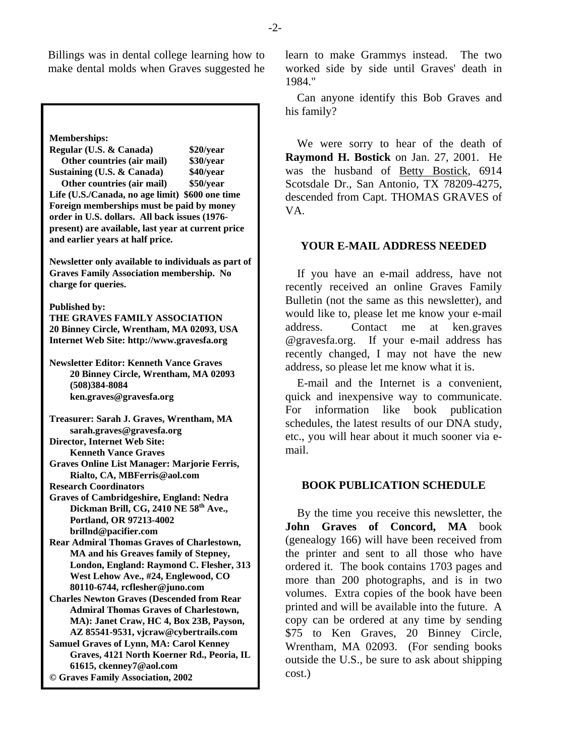Billings was in dental college learning how to make dental molds when Graves suggested he

**Memberships: Regular (U.S. & Canada) \$20/year Other countries (air mail) \$30/year Sustaining (U.S. & Canada) \$40/year Other countries (air mail) \$50/year Life (U.S./Canada, no age limit) \$600 one time Foreign memberships must be paid by money order in U.S. dollars. All back issues (1976 present) are available, last year at current price and earlier years at half price. Newsletter only available to individuals as part of Graves Family Association membership. No charge for queries. Published by: THE GRAVES FAMILY ASSOCIATION 20 Binney Circle, Wrentham, MA 02093, USA Internet Web Site: http://www.gravesfa.org Newsletter Editor: Kenneth Vance Graves 20 Binney Circle, Wrentham, MA 02093 (508)384-8084 ken.graves@gravesfa.org Treasurer: Sarah J. Graves, Wrentham, MA sarah.graves@gravesfa.org Director, Internet Web Site: Kenneth Vance Graves Graves Online List Manager: Marjorie Ferris, Rialto, CA, MBFerris@aol.com Research Coordinators Graves of Cambridgeshire, England: Nedra Dickman Brill, CG, 2410 NE 58th Ave., Portland, OR 97213-4002 brillnd@pacifier.com Rear Admiral Thomas Graves of Charlestown, MA and his Greaves family of Stepney, London, England: Raymond C. Flesher, 313 West Lehow Ave., #24, Englewood, CO 80110-6744, rcflesher@juno.com Charles Newton Graves (Descended from Rear Admiral Thomas Graves of Charlestown, MA): Janet Craw, HC 4, Box 23B, Payson, AZ 85541-9531, vjcraw@cybertrails.com Samuel Graves of Lynn, MA: Carol Kenney Graves, 4121 North Koerner Rd., Peoria, IL 61615, ckenney7@aol.com © Graves Family Association, 2002**

learn to make Grammys instead. The two worked side by side until Graves' death in 1984."

Can anyone identify this Bob Graves and his family?

We were sorry to hear of the death of **Raymond H. Bostick** on Jan. 27, 2001. He was the husband of Betty Bostick, 6914 Scotsdale Dr., San Antonio, TX 78209-4275, descended from Capt. THOMAS GRAVES of VA.

# **YOUR E-MAIL ADDRESS NEEDED**

If you have an e-mail address, have not recently received an online Graves Family Bulletin (not the same as this newsletter), and would like to, please let me know your e-mail address. Contact me at ken.graves @gravesfa.org. If your e-mail address has recently changed, I may not have the new address, so please let me know what it is.

E-mail and the Internet is a convenient, quick and inexpensive way to communicate. For information like book publication schedules, the latest results of our DNA study, etc., you will hear about it much sooner via email.

# **BOOK PUBLICATION SCHEDULE**

By the time you receive this newsletter, the **John Graves of Concord, MA** book (genealogy 166) will have been received from the printer and sent to all those who have ordered it. The book contains 1703 pages and more than 200 photographs, and is in two volumes. Extra copies of the book have been printed and will be available into the future. A copy can be ordered at any time by sending \$75 to Ken Graves, 20 Binney Circle, Wrentham, MA 02093. (For sending books outside the U.S., be sure to ask about shipping cost.)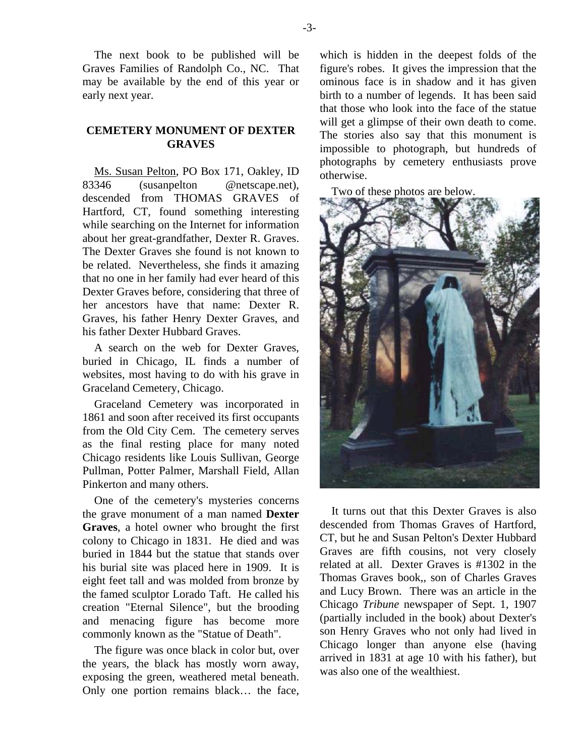The next book to be published will be Graves Families of Randolph Co., NC. That may be available by the end of this year or early next year.

# **CEMETERY MONUMENT OF DEXTER GRAVES**

Ms. Susan Pelton, PO Box 171, Oakley, ID 83346 (susanpelton @netscape.net), descended from THOMAS GRAVES of Hartford, CT, found something interesting while searching on the Internet for information about her great-grandfather, Dexter R. Graves. The Dexter Graves she found is not known to be related. Nevertheless, she finds it amazing that no one in her family had ever heard of this Dexter Graves before, considering that three of her ancestors have that name: Dexter R. Graves, his father Henry Dexter Graves, and his father Dexter Hubbard Graves.

A search on the web for Dexter Graves, buried in Chicago, IL finds a number of websites, most having to do with his grave in Graceland Cemetery, Chicago.

Graceland Cemetery was incorporated in 1861 and soon after received its first occupants from the Old City Cem. The cemetery serves as the final resting place for many noted Chicago residents like Louis Sullivan, George Pullman, Potter Palmer, Marshall Field, Allan Pinkerton and many others.

One of the cemetery's mysteries concerns the grave monument of a man named **Dexter Graves**, a hotel owner who brought the first colony to Chicago in 1831. He died and was buried in 1844 but the statue that stands over his burial site was placed here in 1909. It is eight feet tall and was molded from bronze by the famed sculptor Lorado Taft. He called his creation "Eternal Silence", but the brooding and menacing figure has become more commonly known as the "Statue of Death".

The figure was once black in color but, over the years, the black has mostly worn away, exposing the green, weathered metal beneath. Only one portion remains black… the face, which is hidden in the deepest folds of the figure's robes. It gives the impression that the ominous face is in shadow and it has given birth to a number of legends. It has been said that those who look into the face of the statue will get a glimpse of their own death to come. The stories also say that this monument is impossible to photograph, but hundreds of photographs by cemetery enthusiasts prove otherwise.

Two of these photos are below.



It turns out that this Dexter Graves is also descended from Thomas Graves of Hartford, CT, but he and Susan Pelton's Dexter Hubbard Graves are fifth cousins, not very closely related at all. Dexter Graves is #1302 in the Thomas Graves book,, son of Charles Graves and Lucy Brown. There was an article in the Chicago *Tribune* newspaper of Sept. 1, 1907 (partially included in the book) about Dexter's son Henry Graves who not only had lived in Chicago longer than anyone else (having arrived in 1831 at age 10 with his father), but was also one of the wealthiest.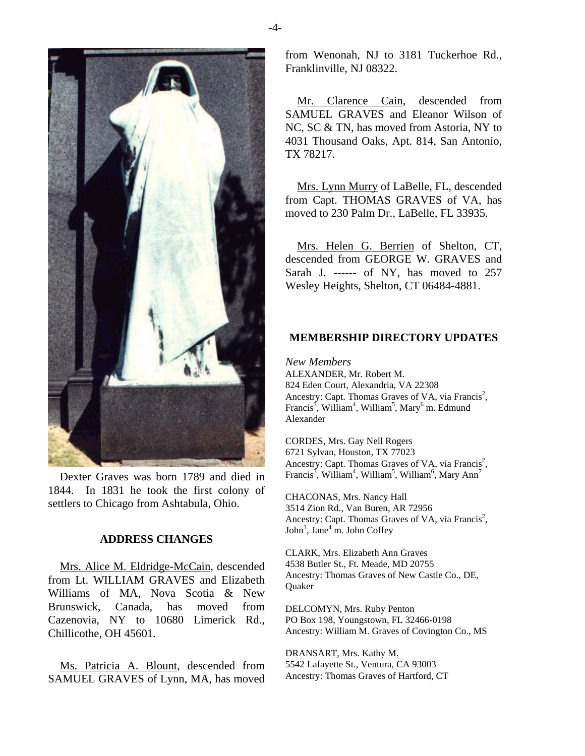

Dexter Graves was born 1789 and died in 1844. In 1831 he took the first colony of settlers to Chicago from Ashtabula, Ohio.

#### **ADDRESS CHANGES**

Mrs. Alice M. Eldridge-McCain, descended from Lt. WILLIAM GRAVES and Elizabeth Williams of MA, Nova Scotia & New Brunswick, Canada, has moved from Cazenovia, NY to 10680 Limerick Rd., Chillicothe, OH 45601.

Ms. Patricia A. Blount, descended from SAMUEL GRAVES of Lynn, MA, has moved

from Wenonah, NJ to 3181 Tuckerhoe Rd., Franklinville, NJ 08322.

Mr. Clarence Cain, descended from SAMUEL GRAVES and Eleanor Wilson of NC, SC & TN, has moved from Astoria, NY to 4031 Thousand Oaks, Apt. 814, San Antonio, TX 78217.

Mrs. Lynn Murry of LaBelle, FL, descended from Capt. THOMAS GRAVES of VA, has moved to 230 Palm Dr., LaBelle, FL 33935.

Mrs. Helen G. Berrien of Shelton, CT, descended from GEORGE W. GRAVES and Sarah J. ------ of NY, has moved to 257 Wesley Heights, Shelton, CT 06484-4881.

## **MEMBERSHIP DIRECTORY UPDATES**

*New Members*  ALEXANDER, Mr. Robert M. 824 Eden Court, Alexandria, VA 22308 Ancestry: Capt. Thomas Graves of VA, via Francis<sup>2</sup>, Francis<sup>3</sup>, William<sup>4</sup>, William<sup>5</sup>, Mary<sup>6</sup> m. Edmund Alexander

CORDES, Mrs. Gay Nell Rogers 6721 Sylvan, Houston, TX 77023 Ancestry: Capt. Thomas Graves of VA, via Francis<sup>2</sup>, Francis<sup>3</sup>, William<sup>4</sup>, William<sup>5</sup>, William<sup>6</sup>, Mary Ann<sup>7</sup>

CHACONAS, Mrs. Nancy Hall 3514 Zion Rd., Van Buren, AR 72956 Ancestry: Capt. Thomas Graves of VA, via Francis<sup>2</sup>, John<sup>3</sup>, Jane<sup>4</sup> m. John Coffey

CLARK, Mrs. Elizabeth Ann Graves 4538 Butler St., Ft. Meade, MD 20755 Ancestry: Thomas Graves of New Castle Co., DE, Quaker

DELCOMYN, Mrs. Ruby Penton PO Box 198, Youngstown, FL 32466-0198 Ancestry: William M. Graves of Covington Co., MS

DRANSART, Mrs. Kathy M. 5542 Lafayette St., Ventura, CA 93003 Ancestry: Thomas Graves of Hartford, CT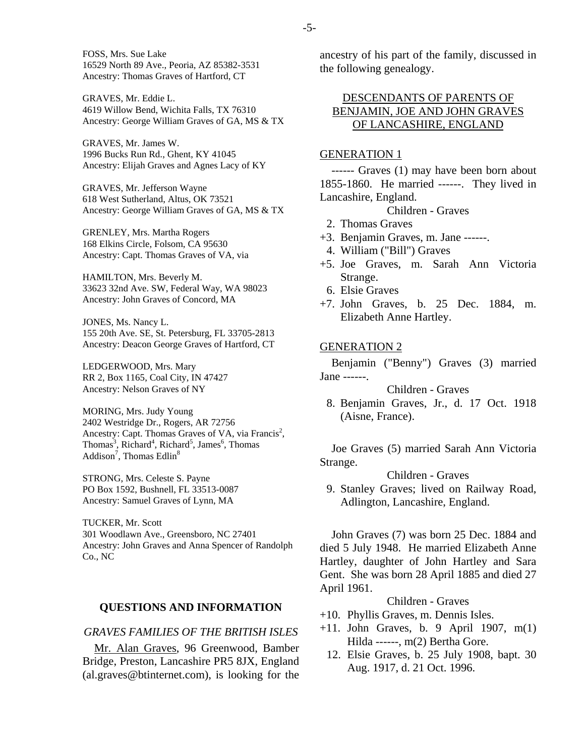FOSS, Mrs. Sue Lake 16529 North 89 Ave., Peoria, AZ 85382-3531 Ancestry: Thomas Graves of Hartford, CT

GRAVES, Mr. Eddie L. 4619 Willow Bend, Wichita Falls, TX 76310 Ancestry: George William Graves of GA, MS & TX

GRAVES, Mr. James W. 1996 Bucks Run Rd., Ghent, KY 41045 Ancestry: Elijah Graves and Agnes Lacy of KY

GRAVES, Mr. Jefferson Wayne 618 West Sutherland, Altus, OK 73521 Ancestry: George William Graves of GA, MS & TX

GRENLEY, Mrs. Martha Rogers 168 Elkins Circle, Folsom, CA 95630 Ancestry: Capt. Thomas Graves of VA, via

HAMILTON, Mrs. Beverly M. 33623 32nd Ave. SW, Federal Way, WA 98023 Ancestry: John Graves of Concord, MA

JONES, Ms. Nancy L. 155 20th Ave. SE, St. Petersburg, FL 33705-2813 Ancestry: Deacon George Graves of Hartford, CT

LEDGERWOOD, Mrs. Mary RR 2, Box 1165, Coal City, IN 47427 Ancestry: Nelson Graves of NY

MORING, Mrs. Judy Young 2402 Westridge Dr., Rogers, AR 72756 Ancestry: Capt. Thomas Graves of VA, via Francis<sup>2</sup>, Thomas<sup>3</sup>, Richard<sup>4</sup>, Richard<sup>5</sup>, James<sup>6</sup>, Thomas Addison<sup>7</sup>, Thomas Edlin<sup>8</sup>

STRONG, Mrs. Celeste S. Payne PO Box 1592, Bushnell, FL 33513-0087 Ancestry: Samuel Graves of Lynn, MA

TUCKER, Mr. Scott 301 Woodlawn Ave., Greensboro, NC 27401 Ancestry: John Graves and Anna Spencer of Randolph Co., NC

#### **QUESTIONS AND INFORMATION**

# *GRAVES FAMILIES OF THE BRITISH ISLES*

Mr. Alan Graves, 96 Greenwood, Bamber Bridge, Preston, Lancashire PR5 8JX, England (al.graves@btinternet.com), is looking for the ancestry of his part of the family, discussed in the following genealogy.

# DESCENDANTS OF PARENTS OF BENJAMIN, JOE AND JOHN GRAVES OF LANCASHIRE, ENGLAND

## GENERATION 1

------ Graves (1) may have been born about 1855-1860. He married ------. They lived in Lancashire, England.

Children - Graves

- 2. Thomas Graves
- +3. Benjamin Graves, m. Jane ------.
- 4. William ("Bill") Graves
- +5. Joe Graves, m. Sarah Ann Victoria Strange.
- 6. Elsie Graves
- +7. John Graves, b. 25 Dec. 1884, m. Elizabeth Anne Hartley.

#### GENERATION 2

Benjamin ("Benny") Graves (3) married Jane ------.

Children - Graves

 8. Benjamin Graves, Jr., d. 17 Oct. 1918 (Aisne, France).

Joe Graves (5) married Sarah Ann Victoria Strange.

Children - Graves

 9. Stanley Graves; lived on Railway Road, Adlington, Lancashire, England.

John Graves (7) was born 25 Dec. 1884 and died 5 July 1948. He married Elizabeth Anne Hartley, daughter of John Hartley and Sara Gent. She was born 28 April 1885 and died 27 April 1961.

- +10. Phyllis Graves, m. Dennis Isles.
- +11. John Graves, b. 9 April 1907, m(1) Hilda ------, m(2) Bertha Gore.
	- 12. Elsie Graves, b. 25 July 1908, bapt. 30 Aug. 1917, d. 21 Oct. 1996.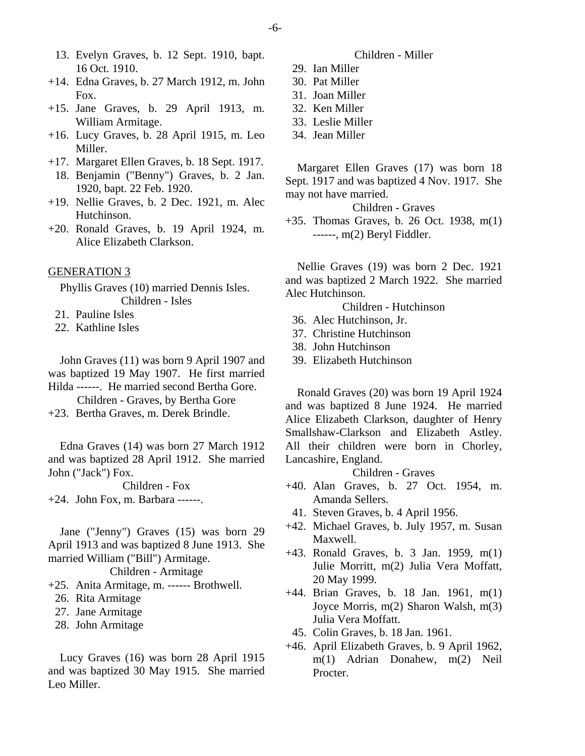- 13. Evelyn Graves, b. 12 Sept. 1910, bapt. 16 Oct. 1910.
- +14. Edna Graves, b. 27 March 1912, m. John Fox.
- +15. Jane Graves, b. 29 April 1913, m. William Armitage.
- +16. Lucy Graves, b. 28 April 1915, m. Leo Miller.
- +17. Margaret Ellen Graves, b. 18 Sept. 1917.
	- 18. Benjamin ("Benny") Graves, b. 2 Jan. 1920, bapt. 22 Feb. 1920.
- +19. Nellie Graves, b. 2 Dec. 1921, m. Alec Hutchinson.
- +20. Ronald Graves, b. 19 April 1924, m. Alice Elizabeth Clarkson.

#### GENERATION 3

Phyllis Graves (10) married Dennis Isles. Children - Isles

- 21. Pauline Isles
- 22. Kathline Isles

John Graves (11) was born 9 April 1907 and was baptized 19 May 1907. He first married Hilda ------. He married second Bertha Gore.

Children - Graves, by Bertha Gore

+23. Bertha Graves, m. Derek Brindle.

Edna Graves (14) was born 27 March 1912 and was baptized 28 April 1912. She married John ("Jack") Fox.

Children - Fox

+24. John Fox, m. Barbara ------.

Jane ("Jenny") Graves (15) was born 29 April 1913 and was baptized 8 June 1913. She married William ("Bill") Armitage.

# Children - Armitage

- +25. Anita Armitage, m. ------ Brothwell.
	- 26. Rita Armitage
	- 27. Jane Armitage
	- 28. John Armitage

Lucy Graves (16) was born 28 April 1915 and was baptized 30 May 1915. She married Leo Miller.

## Children - Miller

- 29. Ian Miller
- 30. Pat Miller
- 31. Joan Miller
- 32. Ken Miller
- 33. Leslie Miller
- 34. Jean Miller

Margaret Ellen Graves (17) was born 18 Sept. 1917 and was baptized 4 Nov. 1917. She may not have married.

Children - Graves

+35. Thomas Graves, b. 26 Oct. 1938, m(1) ------, m(2) Beryl Fiddler.

Nellie Graves (19) was born 2 Dec. 1921 and was baptized 2 March 1922. She married Alec Hutchinson.

Children - Hutchinson

- 36. Alec Hutchinson, Jr.
- 37. Christine Hutchinson
- 38. John Hutchinson
- 39. Elizabeth Hutchinson

Ronald Graves (20) was born 19 April 1924 and was baptized 8 June 1924. He married Alice Elizabeth Clarkson, daughter of Henry Smallshaw-Clarkson and Elizabeth Astley. All their children were born in Chorley, Lancashire, England.

- +40. Alan Graves, b. 27 Oct. 1954, m. Amanda Sellers.
- 41. Steven Graves, b. 4 April 1956.
- +42. Michael Graves, b. July 1957, m. Susan Maxwell.
- +43. Ronald Graves, b. 3 Jan. 1959, m(1) Julie Morritt, m(2) Julia Vera Moffatt, 20 May 1999.
- +44. Brian Graves, b. 18 Jan. 1961, m(1) Joyce Morris, m(2) Sharon Walsh, m(3) Julia Vera Moffatt.
- 45. Colin Graves, b. 18 Jan. 1961.
- +46. April Elizabeth Graves, b. 9 April 1962, m(1) Adrian Donahew, m(2) Neil Procter.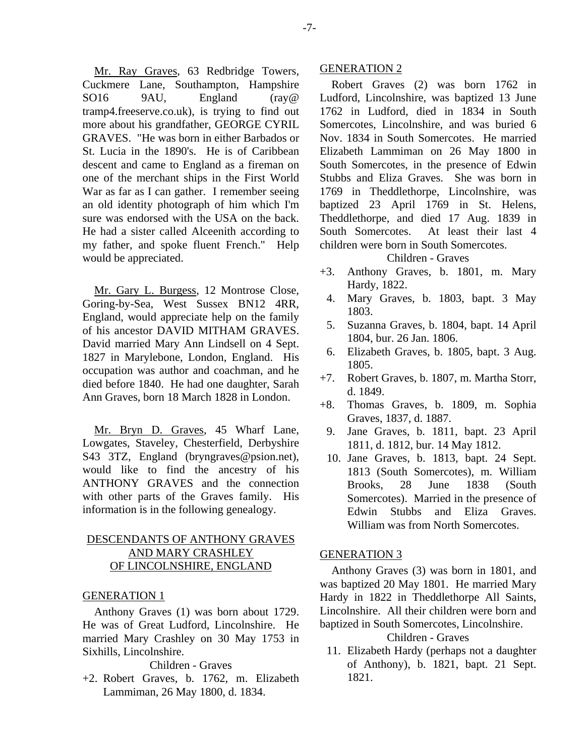Mr. Ray Graves, 63 Redbridge Towers, Cuckmere Lane, Southampton, Hampshire SO16 9AU, England (ray@ tramp4.freeserve.co.uk), is trying to find out more about his grandfather, GEORGE CYRIL GRAVES. "He was born in either Barbados or St. Lucia in the 1890's. He is of Caribbean descent and came to England as a fireman on one of the merchant ships in the First World War as far as I can gather. I remember seeing an old identity photograph of him which I'm sure was endorsed with the USA on the back. He had a sister called Alceenith according to my father, and spoke fluent French." Help would be appreciated.

Mr. Gary L. Burgess, 12 Montrose Close, Goring-by-Sea, West Sussex BN12 4RR, England, would appreciate help on the family of his ancestor DAVID MITHAM GRAVES. David married Mary Ann Lindsell on 4 Sept. 1827 in Marylebone, London, England. His occupation was author and coachman, and he died before 1840. He had one daughter, Sarah Ann Graves, born 18 March 1828 in London.

Mr. Bryn D. Graves, 45 Wharf Lane, Lowgates, Staveley, Chesterfield, Derbyshire S43 3TZ, England (bryngraves@psion.net), would like to find the ancestry of his ANTHONY GRAVES and the connection with other parts of the Graves family. His information is in the following genealogy.

# DESCENDANTS OF ANTHONY GRAVES AND MARY CRASHLEY OF LINCOLNSHIRE, ENGLAND

## GENERATION 1

Anthony Graves (1) was born about 1729. He was of Great Ludford, Lincolnshire. He married Mary Crashley on 30 May 1753 in Sixhills, Lincolnshire.

### Children - Graves

+2. Robert Graves, b. 1762, m. Elizabeth Lammiman, 26 May 1800, d. 1834.

## GENERATION 2

Robert Graves (2) was born 1762 in Ludford, Lincolnshire, was baptized 13 June 1762 in Ludford, died in 1834 in South Somercotes, Lincolnshire, and was buried 6 Nov. 1834 in South Somercotes. He married Elizabeth Lammiman on 26 May 1800 in South Somercotes, in the presence of Edwin Stubbs and Eliza Graves. She was born in 1769 in Theddlethorpe, Lincolnshire, was baptized 23 April 1769 in St. Helens, Theddlethorpe, and died 17 Aug. 1839 in South Somercotes. At least their last 4 children were born in South Somercotes.

## Children - Graves

- +3. Anthony Graves, b. 1801, m. Mary Hardy, 1822.
- 4. Mary Graves, b. 1803, bapt. 3 May 1803.
- 5. Suzanna Graves, b. 1804, bapt. 14 April 1804, bur. 26 Jan. 1806.
- 6. Elizabeth Graves, b. 1805, bapt. 3 Aug. 1805.
- +7. Robert Graves, b. 1807, m. Martha Storr, d. 1849.
- +8. Thomas Graves, b. 1809, m. Sophia Graves, 1837, d. 1887.
- 9. Jane Graves, b. 1811, bapt. 23 April 1811, d. 1812, bur. 14 May 1812.
- 10. Jane Graves, b. 1813, bapt. 24 Sept. 1813 (South Somercotes), m. William Brooks, 28 June 1838 (South Somercotes). Married in the presence of Edwin Stubbs and Eliza Graves. William was from North Somercotes.

#### GENERATION 3

Anthony Graves (3) was born in 1801, and was baptized 20 May 1801. He married Mary Hardy in 1822 in Theddlethorpe All Saints, Lincolnshire. All their children were born and baptized in South Somercotes, Lincolnshire.

## Children - Graves

 11. Elizabeth Hardy (perhaps not a daughter of Anthony), b. 1821, bapt. 21 Sept. 1821.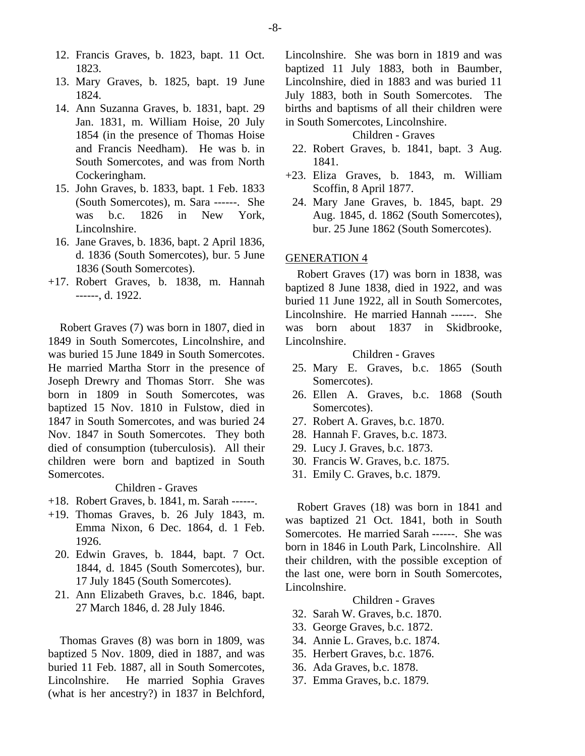- 12. Francis Graves, b. 1823, bapt. 11 Oct. 1823.
- 13. Mary Graves, b. 1825, bapt. 19 June 1824.
- 14. Ann Suzanna Graves, b. 1831, bapt. 29 Jan. 1831, m. William Hoise, 20 July 1854 (in the presence of Thomas Hoise and Francis Needham). He was b. in South Somercotes, and was from North Cockeringham.
- 15. John Graves, b. 1833, bapt. 1 Feb. 1833 (South Somercotes), m. Sara ------. She was b.c. 1826 in New York, Lincolnshire.
- 16. Jane Graves, b. 1836, bapt. 2 April 1836, d. 1836 (South Somercotes), bur. 5 June 1836 (South Somercotes).
- +17. Robert Graves, b. 1838, m. Hannah ------, d. 1922.

Robert Graves (7) was born in 1807, died in 1849 in South Somercotes, Lincolnshire, and was buried 15 June 1849 in South Somercotes. He married Martha Storr in the presence of Joseph Drewry and Thomas Storr. She was born in 1809 in South Somercotes, was baptized 15 Nov. 1810 in Fulstow, died in 1847 in South Somercotes, and was buried 24 Nov. 1847 in South Somercotes. They both died of consumption (tuberculosis). All their children were born and baptized in South Somercotes.

Children - Graves

- +18. Robert Graves, b. 1841, m. Sarah ------.
- +19. Thomas Graves, b. 26 July 1843, m. Emma Nixon, 6 Dec. 1864, d. 1 Feb. 1926.
	- 20. Edwin Graves, b. 1844, bapt. 7 Oct. 1844, d. 1845 (South Somercotes), bur. 17 July 1845 (South Somercotes).
	- 21. Ann Elizabeth Graves, b.c. 1846, bapt. 27 March 1846, d. 28 July 1846.

Thomas Graves (8) was born in 1809, was baptized 5 Nov. 1809, died in 1887, and was buried 11 Feb. 1887, all in South Somercotes, Lincolnshire. He married Sophia Graves (what is her ancestry?) in 1837 in Belchford, Lincolnshire. She was born in 1819 and was baptized 11 July 1883, both in Baumber, Lincolnshire, died in 1883 and was buried 11 July 1883, both in South Somercotes. The births and baptisms of all their children were in South Somercotes, Lincolnshire.

## Children - Graves

- 22. Robert Graves, b. 1841, bapt. 3 Aug. 1841.
- +23. Eliza Graves, b. 1843, m. William Scoffin, 8 April 1877.
	- 24. Mary Jane Graves, b. 1845, bapt. 29 Aug. 1845, d. 1862 (South Somercotes), bur. 25 June 1862 (South Somercotes).

## GENERATION 4

Robert Graves (17) was born in 1838, was baptized 8 June 1838, died in 1922, and was buried 11 June 1922, all in South Somercotes, Lincolnshire. He married Hannah ------. She was born about 1837 in Skidbrooke, Lincolnshire.

Children - Graves

- 25. Mary E. Graves, b.c. 1865 (South Somercotes).
- 26. Ellen A. Graves, b.c. 1868 (South Somercotes).
- 27. Robert A. Graves, b.c. 1870.
- 28. Hannah F. Graves, b.c. 1873.
- 29. Lucy J. Graves, b.c. 1873.
- 30. Francis W. Graves, b.c. 1875.
- 31. Emily C. Graves, b.c. 1879.

Robert Graves (18) was born in 1841 and was baptized 21 Oct. 1841, both in South Somercotes. He married Sarah ------. She was born in 1846 in Louth Park, Lincolnshire. All their children, with the possible exception of the last one, were born in South Somercotes, Lincolnshire.

- 32. Sarah W. Graves, b.c. 1870.
- 33. George Graves, b.c. 1872.
- 34. Annie L. Graves, b.c. 1874.
- 35. Herbert Graves, b.c. 1876.
- 36. Ada Graves, b.c. 1878.
- 37. Emma Graves, b.c. 1879.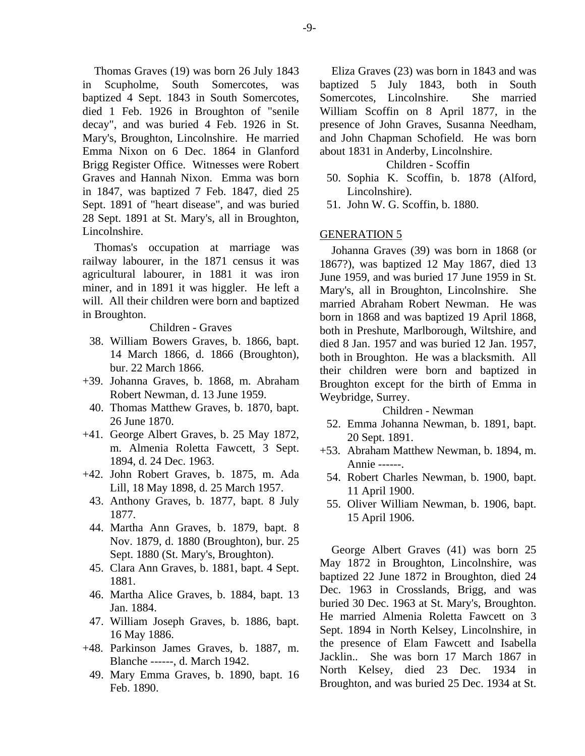Thomas Graves (19) was born 26 July 1843 in Scupholme, South Somercotes, was baptized 4 Sept. 1843 in South Somercotes, died 1 Feb. 1926 in Broughton of "senile decay", and was buried 4 Feb. 1926 in St. Mary's, Broughton, Lincolnshire. He married Emma Nixon on 6 Dec. 1864 in Glanford Brigg Register Office. Witnesses were Robert Graves and Hannah Nixon. Emma was born in 1847, was baptized 7 Feb. 1847, died 25 Sept. 1891 of "heart disease", and was buried 28 Sept. 1891 at St. Mary's, all in Broughton, Lincolnshire.

Thomas's occupation at marriage was railway labourer, in the 1871 census it was agricultural labourer, in 1881 it was iron miner, and in 1891 it was higgler. He left a will. All their children were born and baptized in Broughton.

## Children - Graves

- 38. William Bowers Graves, b. 1866, bapt. 14 March 1866, d. 1866 (Broughton), bur. 22 March 1866.
- +39. Johanna Graves, b. 1868, m. Abraham Robert Newman, d. 13 June 1959.
- 40. Thomas Matthew Graves, b. 1870, bapt. 26 June 1870.
- +41. George Albert Graves, b. 25 May 1872, m. Almenia Roletta Fawcett, 3 Sept. 1894, d. 24 Dec. 1963.
- +42. John Robert Graves, b. 1875, m. Ada Lill, 18 May 1898, d. 25 March 1957.
	- 43. Anthony Graves, b. 1877, bapt. 8 July 1877.
	- 44. Martha Ann Graves, b. 1879, bapt. 8 Nov. 1879, d. 1880 (Broughton), bur. 25 Sept. 1880 (St. Mary's, Broughton).
	- 45. Clara Ann Graves, b. 1881, bapt. 4 Sept. 1881.
	- 46. Martha Alice Graves, b. 1884, bapt. 13 Jan. 1884.
	- 47. William Joseph Graves, b. 1886, bapt. 16 May 1886.
- +48. Parkinson James Graves, b. 1887, m. Blanche ------, d. March 1942.
	- 49. Mary Emma Graves, b. 1890, bapt. 16 Feb. 1890.

Eliza Graves (23) was born in 1843 and was baptized 5 July 1843, both in South Somercotes, Lincolnshire. She married William Scoffin on 8 April 1877, in the presence of John Graves, Susanna Needham, and John Chapman Schofield. He was born about 1831 in Anderby, Lincolnshire.

#### Children - Scoffin

- 50. Sophia K. Scoffin, b. 1878 (Alford, Lincolnshire).
- 51. John W. G. Scoffin, b. 1880.

#### GENERATION 5

Johanna Graves (39) was born in 1868 (or 1867?), was baptized 12 May 1867, died 13 June 1959, and was buried 17 June 1959 in St. Mary's, all in Broughton, Lincolnshire. She married Abraham Robert Newman. He was born in 1868 and was baptized 19 April 1868, both in Preshute, Marlborough, Wiltshire, and died 8 Jan. 1957 and was buried 12 Jan. 1957, both in Broughton. He was a blacksmith. All their children were born and baptized in Broughton except for the birth of Emma in Weybridge, Surrey.

#### Children - Newman

- 52. Emma Johanna Newman, b. 1891, bapt. 20 Sept. 1891.
- +53. Abraham Matthew Newman, b. 1894, m. Annie ------.
	- 54. Robert Charles Newman, b. 1900, bapt. 11 April 1900.
- 55. Oliver William Newman, b. 1906, bapt. 15 April 1906.

George Albert Graves (41) was born 25 May 1872 in Broughton, Lincolnshire, was baptized 22 June 1872 in Broughton, died 24 Dec. 1963 in Crosslands, Brigg, and was buried 30 Dec. 1963 at St. Mary's, Broughton. He married Almenia Roletta Fawcett on 3 Sept. 1894 in North Kelsey, Lincolnshire, in the presence of Elam Fawcett and Isabella Jacklin.. She was born 17 March 1867 in North Kelsey, died 23 Dec. 1934 in Broughton, and was buried 25 Dec. 1934 at St.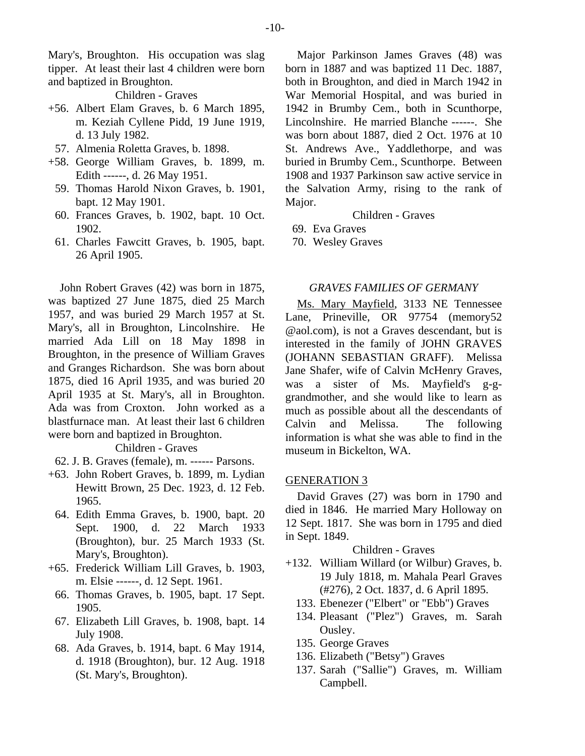Mary's, Broughton. His occupation was slag tipper. At least their last 4 children were born and baptized in Broughton.

## Children - Graves

- +56. Albert Elam Graves, b. 6 March 1895, m. Keziah Cyllene Pidd, 19 June 1919, d. 13 July 1982.
- 57. Almenia Roletta Graves, b. 1898.
- +58. George William Graves, b. 1899, m. Edith ------, d. 26 May 1951.
	- 59. Thomas Harold Nixon Graves, b. 1901, bapt. 12 May 1901.
	- 60. Frances Graves, b. 1902, bapt. 10 Oct. 1902.
	- 61. Charles Fawcitt Graves, b. 1905, bapt. 26 April 1905.

John Robert Graves (42) was born in 1875, was baptized 27 June 1875, died 25 March 1957, and was buried 29 March 1957 at St. Mary's, all in Broughton, Lincolnshire. He married Ada Lill on 18 May 1898 in Broughton, in the presence of William Graves and Granges Richardson. She was born about 1875, died 16 April 1935, and was buried 20 April 1935 at St. Mary's, all in Broughton. Ada was from Croxton. John worked as a blastfurnace man. At least their last 6 children were born and baptized in Broughton.

## Children - Graves

- 62. J. B. Graves (female), m. ------ Parsons.
- +63. John Robert Graves, b. 1899, m. Lydian Hewitt Brown, 25 Dec. 1923, d. 12 Feb. 1965.
	- 64. Edith Emma Graves, b. 1900, bapt. 20 Sept. 1900, d. 22 March 1933 (Broughton), bur. 25 March 1933 (St. Mary's, Broughton).
- +65. Frederick William Lill Graves, b. 1903, m. Elsie ------, d. 12 Sept. 1961.
- 66. Thomas Graves, b. 1905, bapt. 17 Sept. 1905.
- 67. Elizabeth Lill Graves, b. 1908, bapt. 14 July 1908.
- 68. Ada Graves, b. 1914, bapt. 6 May 1914, d. 1918 (Broughton), bur. 12 Aug. 1918 (St. Mary's, Broughton).

Major Parkinson James Graves (48) was born in 1887 and was baptized 11 Dec. 1887, both in Broughton, and died in March 1942 in War Memorial Hospital, and was buried in 1942 in Brumby Cem., both in Scunthorpe, Lincolnshire. He married Blanche ------. She was born about 1887, died 2 Oct. 1976 at 10 St. Andrews Ave., Yaddlethorpe, and was buried in Brumby Cem., Scunthorpe. Between 1908 and 1937 Parkinson saw active service in the Salvation Army, rising to the rank of Major.

## Children - Graves

- 69. Eva Graves
- 70. Wesley Graves

#### *GRAVES FAMILIES OF GERMANY*

Ms. Mary Mayfield, 3133 NE Tennessee Lane, Prineville, OR 97754 (memory52 @aol.com), is not a Graves descendant, but is interested in the family of JOHN GRAVES (JOHANN SEBASTIAN GRAFF). Melissa Jane Shafer, wife of Calvin McHenry Graves, was a sister of Ms. Mayfield's g-ggrandmother, and she would like to learn as much as possible about all the descendants of Calvin and Melissa. The following information is what she was able to find in the museum in Bickelton, WA.

#### GENERATION 3

David Graves (27) was born in 1790 and died in 1846. He married Mary Holloway on 12 Sept. 1817. She was born in 1795 and died in Sept. 1849.

- +132. William Willard (or Wilbur) Graves, b. 19 July 1818, m. Mahala Pearl Graves (#276), 2 Oct. 1837, d. 6 April 1895.
	- 133. Ebenezer ("Elbert" or "Ebb") Graves
	- 134. Pleasant ("Plez") Graves, m. Sarah Ousley.
	- 135. George Graves
	- 136. Elizabeth ("Betsy") Graves
	- 137. Sarah ("Sallie") Graves, m. William Campbell.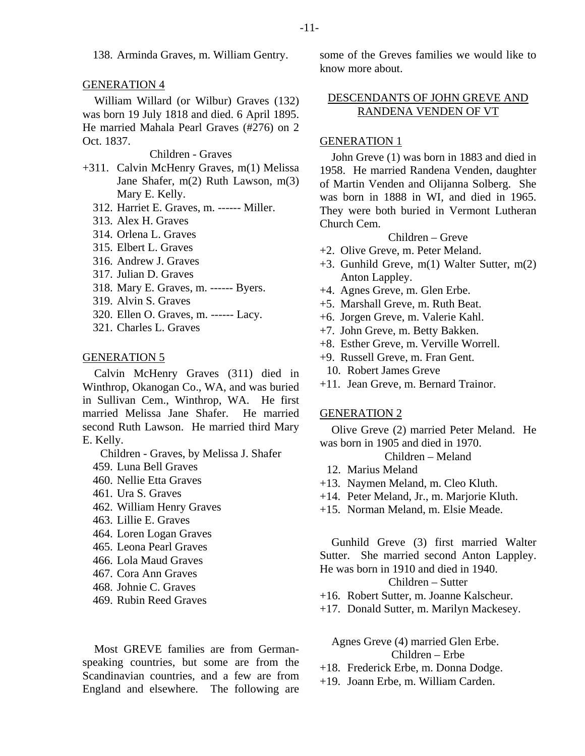138. Arminda Graves, m. William Gentry.

#### GENERATION 4

William Willard (or Wilbur) Graves (132) was born 19 July 1818 and died. 6 April 1895. He married Mahala Pearl Graves (#276) on 2 Oct. 1837.

Children - Graves

- +311. Calvin McHenry Graves, m(1) Melissa Jane Shafer, m(2) Ruth Lawson, m(3) Mary E. Kelly.
	- 312. Harriet E. Graves, m. ------ Miller.
	- 313. Alex H. Graves
	- 314. Orlena L. Graves
	- 315. Elbert L. Graves
	- 316. Andrew J. Graves
	- 317. Julian D. Graves
	- 318. Mary E. Graves, m. ------ Byers.
	- 319. Alvin S. Graves
	- 320. Ellen O. Graves, m. ------ Lacy.
	- 321. Charles L. Graves

## GENERATION 5

Calvin McHenry Graves (311) died in Winthrop, Okanogan Co., WA, and was buried in Sullivan Cem., Winthrop, WA. He first married Melissa Jane Shafer. He married second Ruth Lawson. He married third Mary E. Kelly.

- Children Graves, by Melissa J. Shafer
- 459. Luna Bell Graves
- 460. Nellie Etta Graves
- 461. Ura S. Graves
- 462. William Henry Graves
- 463. Lillie E. Graves
- 464. Loren Logan Graves
- 465. Leona Pearl Graves
- 466. Lola Maud Graves
- 467. Cora Ann Graves
- 468. Johnie C. Graves
- 469. Rubin Reed Graves

Most GREVE families are from Germanspeaking countries, but some are from the Scandinavian countries, and a few are from England and elsewhere. The following are some of the Greves families we would like to know more about.

# DESCENDANTS OF JOHN GREVE AND RANDENA VENDEN OF VT

## GENERATION 1

John Greve (1) was born in 1883 and died in 1958. He married Randena Venden, daughter of Martin Venden and Olijanna Solberg. She was born in 1888 in WI, and died in 1965. They were both buried in Vermont Lutheran Church Cem.

# Children – Greve

- +2. Olive Greve, m. Peter Meland.
- +3. Gunhild Greve, m(1) Walter Sutter, m(2) Anton Lappley.
- +4. Agnes Greve, m. Glen Erbe.
- +5. Marshall Greve, m. Ruth Beat.
- +6. Jorgen Greve, m. Valerie Kahl.
- +7. John Greve, m. Betty Bakken.
- +8. Esther Greve, m. Verville Worrell.
- +9. Russell Greve, m. Fran Gent.
	- 10. Robert James Greve
- +11. Jean Greve, m. Bernard Trainor.

#### GENERATION 2

Olive Greve (2) married Peter Meland. He was born in 1905 and died in 1970.

Children – Meland

- 12. Marius Meland
- +13. Naymen Meland, m. Cleo Kluth.
- +14. Peter Meland, Jr., m. Marjorie Kluth.
- +15. Norman Meland, m. Elsie Meade.

Gunhild Greve (3) first married Walter Sutter. She married second Anton Lappley. He was born in 1910 and died in 1940.

## Children – Sutter

- +16. Robert Sutter, m. Joanne Kalscheur.
- +17. Donald Sutter, m. Marilyn Mackesey.

Agnes Greve (4) married Glen Erbe. Children – Erbe

- +18. Frederick Erbe, m. Donna Dodge.
- +19. Joann Erbe, m. William Carden.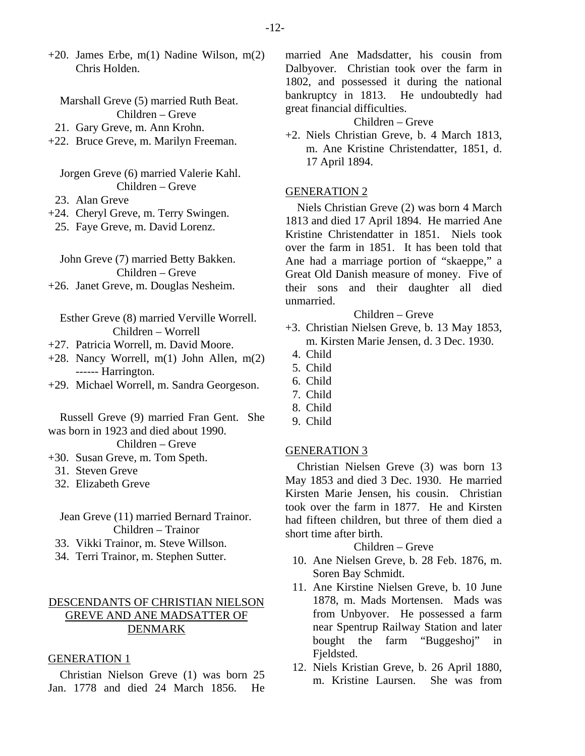$+20$ . James Erbe, m(1) Nadine Wilson, m(2) Chris Holden.

Marshall Greve (5) married Ruth Beat. Children – Greve 21. Gary Greve, m. Ann Krohn.

+22. Bruce Greve, m. Marilyn Freeman.

Jorgen Greve (6) married Valerie Kahl. Children – Greve

- 23. Alan Greve
- +24. Cheryl Greve, m. Terry Swingen.

25. Faye Greve, m. David Lorenz.

John Greve (7) married Betty Bakken. Children – Greve +26. Janet Greve, m. Douglas Nesheim.

Esther Greve (8) married Verville Worrell. Children – Worrell

- +27. Patricia Worrell, m. David Moore.
- +28. Nancy Worrell, m(1) John Allen, m(2) ------ Harrington.
- +29. Michael Worrell, m. Sandra Georgeson.

Russell Greve (9) married Fran Gent. She was born in 1923 and died about 1990.

## Children – Greve

- +30. Susan Greve, m. Tom Speth.
	- 31. Steven Greve
	- 32. Elizabeth Greve

Jean Greve (11) married Bernard Trainor. Children – Trainor

- 33. Vikki Trainor, m. Steve Willson.
- 34. Terri Trainor, m. Stephen Sutter.

# DESCENDANTS OF CHRISTIAN NIELSON GREVE AND ANE MADSATTER OF DENMARK

## GENERATION 1

Christian Nielson Greve (1) was born 25 Jan. 1778 and died 24 March 1856. He married Ane Madsdatter, his cousin from Dalbyover. Christian took over the farm in 1802, and possessed it during the national bankruptcy in 1813. He undoubtedly had great financial difficulties.

# Children – Greve

+2. Niels Christian Greve, b. 4 March 1813, m. Ane Kristine Christendatter, 1851, d. 17 April 1894.

#### GENERATION 2

Niels Christian Greve (2) was born 4 March 1813 and died 17 April 1894. He married Ane Kristine Christendatter in 1851. Niels took over the farm in 1851. It has been told that Ane had a marriage portion of "skaeppe," a Great Old Danish measure of money. Five of their sons and their daughter all died unmarried.

## Children – Greve

- +3. Christian Nielsen Greve, b. 13 May 1853, m. Kirsten Marie Jensen, d. 3 Dec. 1930.
	- 4. Child
- 5. Child
- 6. Child
- 7. Child
- 8. Child
- 9. Child

#### GENERATION 3

Christian Nielsen Greve (3) was born 13 May 1853 and died 3 Dec. 1930. He married Kirsten Marie Jensen, his cousin. Christian took over the farm in 1877. He and Kirsten had fifteen children, but three of them died a short time after birth.

# Children – Greve

- 10. Ane Nielsen Greve, b. 28 Feb. 1876, m. Soren Bay Schmidt.
- 11. Ane Kirstine Nielsen Greve, b. 10 June 1878, m. Mads Mortensen. Mads was from Unbyover. He possessed a farm near Spentrup Railway Station and later bought the farm "Buggeshoj" in Fjeldsted.
- 12. Niels Kristian Greve, b. 26 April 1880, m. Kristine Laursen. She was from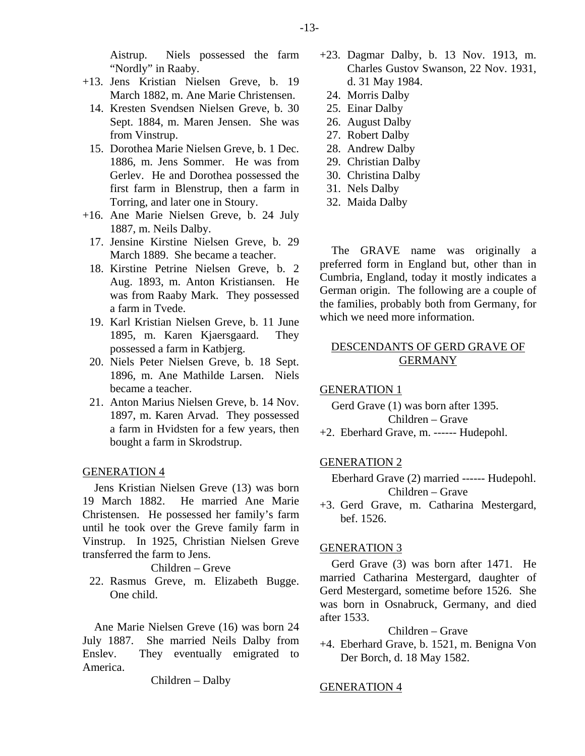Aistrup. Niels possessed the farm "Nordly" in Raaby.

- +13. Jens Kristian Nielsen Greve, b. 19 March 1882, m. Ane Marie Christensen.
	- 14. Kresten Svendsen Nielsen Greve, b. 30 Sept. 1884, m. Maren Jensen. She was from Vinstrup.
	- 15. Dorothea Marie Nielsen Greve, b. 1 Dec. 1886, m. Jens Sommer. He was from Gerlev. He and Dorothea possessed the first farm in Blenstrup, then a farm in Torring, and later one in Stoury.
- +16. Ane Marie Nielsen Greve, b. 24 July 1887, m. Neils Dalby.
	- 17. Jensine Kirstine Nielsen Greve, b. 29 March 1889. She became a teacher.
	- 18. Kirstine Petrine Nielsen Greve, b. 2 Aug. 1893, m. Anton Kristiansen. He was from Raaby Mark. They possessed a farm in Tvede.
	- 19. Karl Kristian Nielsen Greve, b. 11 June 1895, m. Karen Kjaersgaard. They possessed a farm in Katbjerg.
	- 20. Niels Peter Nielsen Greve, b. 18 Sept. 1896, m. Ane Mathilde Larsen. Niels became a teacher.
	- 21. Anton Marius Nielsen Greve, b. 14 Nov. 1897, m. Karen Arvad. They possessed a farm in Hvidsten for a few years, then bought a farm in Skrodstrup.

## GENERATION 4

Jens Kristian Nielsen Greve (13) was born 19 March 1882. He married Ane Marie Christensen. He possessed her family's farm until he took over the Greve family farm in Vinstrup. In 1925, Christian Nielsen Greve transferred the farm to Jens.

#### Children – Greve

 22. Rasmus Greve, m. Elizabeth Bugge. One child.

Ane Marie Nielsen Greve (16) was born 24 July 1887. She married Neils Dalby from Enslev. They eventually emigrated to America.

Children – Dalby

- +23. Dagmar Dalby, b. 13 Nov. 1913, m. Charles Gustov Swanson, 22 Nov. 1931, d. 31 May 1984.
	- 24. Morris Dalby
- 25. Einar Dalby
- 26. August Dalby
- 27. Robert Dalby
- 28. Andrew Dalby
- 29. Christian Dalby
- 30. Christina Dalby
- 31. Nels Dalby
- 32. Maida Dalby

The GRAVE name was originally a preferred form in England but, other than in Cumbria, England, today it mostly indicates a German origin. The following are a couple of the families, probably both from Germany, for which we need more information.

# DESCENDANTS OF GERD GRAVE OF GERMANY

#### GENERATION 1

Gerd Grave (1) was born after 1395. Children – Grave

+2. Eberhard Grave, m. ------ Hudepohl.

#### GENERATION 2

Eberhard Grave (2) married ------ Hudepohl. Children – Grave

+3. Gerd Grave, m. Catharina Mestergard, bef. 1526.

## GENERATION 3

Gerd Grave (3) was born after 1471. He married Catharina Mestergard, daughter of Gerd Mestergard, sometime before 1526. She was born in Osnabruck, Germany, and died after 1533.

## Children – Grave

+4. Eberhard Grave, b. 1521, m. Benigna Von Der Borch, d. 18 May 1582.

GENERATION 4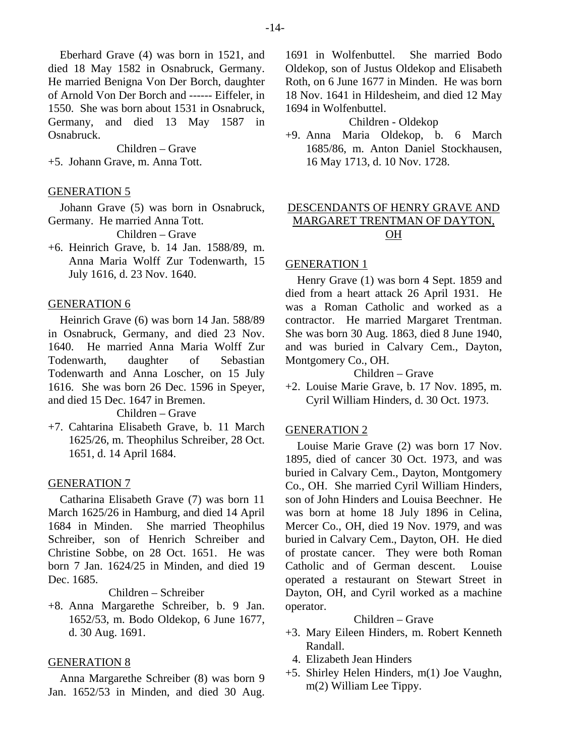Children – Grave +5. Johann Grave, m. Anna Tott.

## GENERATION 5

Johann Grave (5) was born in Osnabruck, Germany. He married Anna Tott.

Children – Grave

+6. Heinrich Grave, b. 14 Jan. 1588/89, m. Anna Maria Wolff Zur Todenwarth, 15 July 1616, d. 23 Nov. 1640.

# GENERATION 6

Heinrich Grave (6) was born 14 Jan. 588/89 in Osnabruck, Germany, and died 23 Nov. 1640. He married Anna Maria Wolff Zur Todenwarth, daughter of Sebastian Todenwarth and Anna Loscher, on 15 July 1616. She was born 26 Dec. 1596 in Speyer, and died 15 Dec. 1647 in Bremen.

Children – Grave

+7. Cahtarina Elisabeth Grave, b. 11 March 1625/26, m. Theophilus Schreiber, 28 Oct. 1651, d. 14 April 1684.

# GENERATION 7

Catharina Elisabeth Grave (7) was born 11 March 1625/26 in Hamburg, and died 14 April 1684 in Minden. She married Theophilus Schreiber, son of Henrich Schreiber and Christine Sobbe, on 28 Oct. 1651. He was born 7 Jan. 1624/25 in Minden, and died 19 Dec. 1685.

Children – Schreiber

+8. Anna Margarethe Schreiber, b. 9 Jan. 1652/53, m. Bodo Oldekop, 6 June 1677, d. 30 Aug. 1691.

# GENERATION 8

Anna Margarethe Schreiber (8) was born 9 Jan. 1652/53 in Minden, and died 30 Aug.

1691 in Wolfenbuttel. She married Bodo Oldekop, son of Justus Oldekop and Elisabeth Roth, on 6 June 1677 in Minden. He was born 18 Nov. 1641 in Hildesheim, and died 12 May 1694 in Wolfenbuttel.

Children - Oldekop

+9. Anna Maria Oldekop, b. 6 March 1685/86, m. Anton Daniel Stockhausen, 16 May 1713, d. 10 Nov. 1728.

# DESCENDANTS OF HENRY GRAVE AND MARGARET TRENTMAN OF DAYTON, OH

# GENERATION 1

Henry Grave (1) was born 4 Sept. 1859 and died from a heart attack 26 April 1931. He was a Roman Catholic and worked as a contractor. He married Margaret Trentman. She was born 30 Aug. 1863, died 8 June 1940, and was buried in Calvary Cem., Dayton, Montgomery Co., OH.

# Children – Grave

+2. Louise Marie Grave, b. 17 Nov. 1895, m. Cyril William Hinders, d. 30 Oct. 1973.

## GENERATION 2

Louise Marie Grave (2) was born 17 Nov. 1895, died of cancer 30 Oct. 1973, and was buried in Calvary Cem., Dayton, Montgomery Co., OH. She married Cyril William Hinders, son of John Hinders and Louisa Beechner. He was born at home 18 July 1896 in Celina, Mercer Co., OH, died 19 Nov. 1979, and was buried in Calvary Cem., Dayton, OH. He died of prostate cancer. They were both Roman Catholic and of German descent. Louise operated a restaurant on Stewart Street in Dayton, OH, and Cyril worked as a machine operator.

- +3. Mary Eileen Hinders, m. Robert Kenneth Randall.
- 4. Elizabeth Jean Hinders
- +5. Shirley Helen Hinders, m(1) Joe Vaughn, m(2) William Lee Tippy.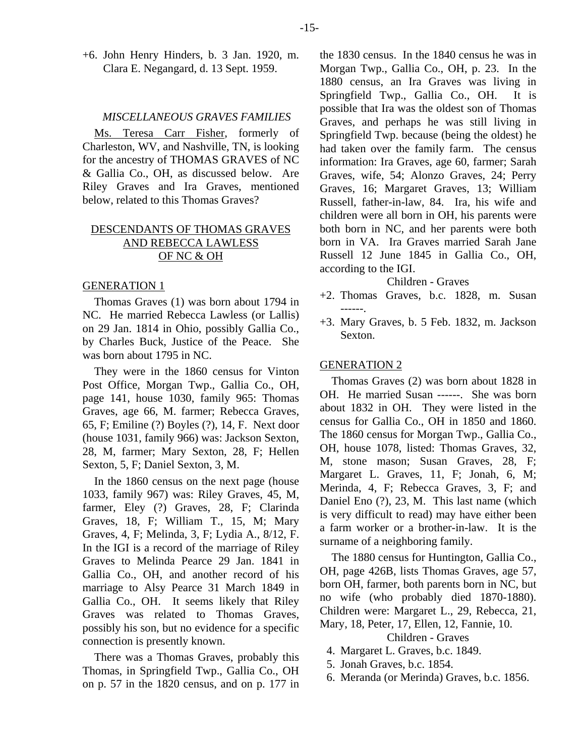#### *MISCELLANEOUS GRAVES FAMILIES*

Ms. Teresa Carr Fisher, formerly of Charleston, WV, and Nashville, TN, is looking for the ancestry of THOMAS GRAVES of NC & Gallia Co., OH, as discussed below. Are Riley Graves and Ira Graves, mentioned below, related to this Thomas Graves?

# DESCENDANTS OF THOMAS GRAVES AND REBECCA LAWLESS OF NC & OH

#### GENERATION 1

Thomas Graves (1) was born about 1794 in NC. He married Rebecca Lawless (or Lallis) on 29 Jan. 1814 in Ohio, possibly Gallia Co., by Charles Buck, Justice of the Peace. She was born about 1795 in NC.

They were in the 1860 census for Vinton Post Office, Morgan Twp., Gallia Co., OH, page 141, house 1030, family 965: Thomas Graves, age 66, M. farmer; Rebecca Graves, 65, F; Emiline (?) Boyles (?), 14, F. Next door (house 1031, family 966) was: Jackson Sexton, 28, M, farmer; Mary Sexton, 28, F; Hellen Sexton, 5, F; Daniel Sexton, 3, M.

In the 1860 census on the next page (house 1033, family 967) was: Riley Graves, 45, M, farmer, Eley (?) Graves, 28, F; Clarinda Graves, 18, F; William T., 15, M; Mary Graves, 4, F; Melinda, 3, F; Lydia A., 8/12, F. In the IGI is a record of the marriage of Riley Graves to Melinda Pearce 29 Jan. 1841 in Gallia Co., OH, and another record of his marriage to Alsy Pearce 31 March 1849 in Gallia Co., OH. It seems likely that Riley Graves was related to Thomas Graves, possibly his son, but no evidence for a specific connection is presently known.

There was a Thomas Graves, probably this Thomas, in Springfield Twp., Gallia Co., OH on p. 57 in the 1820 census, and on p. 177 in the 1830 census. In the 1840 census he was in Morgan Twp., Gallia Co., OH, p. 23. In the 1880 census, an Ira Graves was living in Springfield Twp., Gallia Co., OH. It is possible that Ira was the oldest son of Thomas Graves, and perhaps he was still living in Springfield Twp. because (being the oldest) he had taken over the family farm. The census information: Ira Graves, age 60, farmer; Sarah Graves, wife, 54; Alonzo Graves, 24; Perry Graves, 16; Margaret Graves, 13; William Russell, father-in-law, 84. Ira, his wife and children were all born in OH, his parents were both born in NC, and her parents were both born in VA. Ira Graves married Sarah Jane Russell 12 June 1845 in Gallia Co., OH, according to the IGI.

Children - Graves

- +2. Thomas Graves, b.c. 1828, m. Susan ------.
- +3. Mary Graves, b. 5 Feb. 1832, m. Jackson Sexton.

#### GENERATION 2

Thomas Graves (2) was born about 1828 in OH. He married Susan ------. She was born about 1832 in OH. They were listed in the census for Gallia Co., OH in 1850 and 1860. The 1860 census for Morgan Twp., Gallia Co., OH, house 1078, listed: Thomas Graves, 32, M, stone mason; Susan Graves, 28, F; Margaret L. Graves, 11, F; Jonah, 6, M; Merinda, 4, F; Rebecca Graves, 3, F; and Daniel Eno (?), 23, M. This last name (which is very difficult to read) may have either been a farm worker or a brother-in-law. It is the surname of a neighboring family.

The 1880 census for Huntington, Gallia Co., OH, page 426B, lists Thomas Graves, age 57, born OH, farmer, both parents born in NC, but no wife (who probably died 1870-1880). Children were: Margaret L., 29, Rebecca, 21, Mary, 18, Peter, 17, Ellen, 12, Fannie, 10.

- 4. Margaret L. Graves, b.c. 1849.
- 5. Jonah Graves, b.c. 1854.
- 6. Meranda (or Merinda) Graves, b.c. 1856.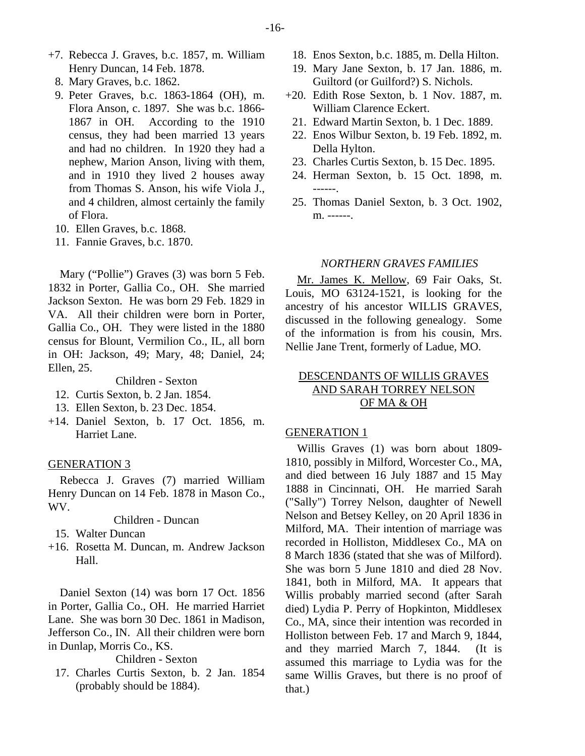- +7. Rebecca J. Graves, b.c. 1857, m. William Henry Duncan, 14 Feb. 1878.
	- 8. Mary Graves, b.c. 1862.
	- 9. Peter Graves, b.c. 1863-1864 (OH), m. Flora Anson, c. 1897. She was b.c. 1866- 1867 in OH. According to the 1910 census, they had been married 13 years and had no children. In 1920 they had a nephew, Marion Anson, living with them, and in 1910 they lived 2 houses away from Thomas S. Anson, his wife Viola J., and 4 children, almost certainly the family of Flora.
	- 10. Ellen Graves, b.c. 1868.
	- 11. Fannie Graves, b.c. 1870.

Mary ("Pollie") Graves (3) was born 5 Feb. 1832 in Porter, Gallia Co., OH. She married Jackson Sexton. He was born 29 Feb. 1829 in VA. All their children were born in Porter, Gallia Co., OH. They were listed in the 1880 census for Blount, Vermilion Co., IL, all born in OH: Jackson, 49; Mary, 48; Daniel, 24; Ellen, 25.

Children - Sexton

- 12. Curtis Sexton, b. 2 Jan. 1854.
- 13. Ellen Sexton, b. 23 Dec. 1854.
- +14. Daniel Sexton, b. 17 Oct. 1856, m. Harriet Lane.

#### GENERATION 3

Rebecca J. Graves (7) married William Henry Duncan on 14 Feb. 1878 in Mason Co., WV.

Children - Duncan

- 15. Walter Duncan
- +16. Rosetta M. Duncan, m. Andrew Jackson Hall.

Daniel Sexton (14) was born 17 Oct. 1856 in Porter, Gallia Co., OH. He married Harriet Lane. She was born 30 Dec. 1861 in Madison, Jefferson Co., IN. All their children were born in Dunlap, Morris Co., KS.

Children - Sexton

 17. Charles Curtis Sexton, b. 2 Jan. 1854 (probably should be 1884).

- 18. Enos Sexton, b.c. 1885, m. Della Hilton.
- 19. Mary Jane Sexton, b. 17 Jan. 1886, m. Guiltord (or Guilford?) S. Nichols.
- +20. Edith Rose Sexton, b. 1 Nov. 1887, m. William Clarence Eckert.
- 21. Edward Martin Sexton, b. 1 Dec. 1889.
- 22. Enos Wilbur Sexton, b. 19 Feb. 1892, m. Della Hylton.
- 23. Charles Curtis Sexton, b. 15 Dec. 1895.
- 24. Herman Sexton, b. 15 Oct. 1898, m. ------.
- 25. Thomas Daniel Sexton, b. 3 Oct. 1902, m. ------.

## *NORTHERN GRAVES FAMILIES*

Mr. James K. Mellow, 69 Fair Oaks, St. Louis, MO 63124-1521, is looking for the ancestry of his ancestor WILLIS GRAVES, discussed in the following genealogy. Some of the information is from his cousin, Mrs. Nellie Jane Trent, formerly of Ladue, MO.

# DESCENDANTS OF WILLIS GRAVES AND SARAH TORREY NELSON OF MA & OH

## GENERATION 1

Willis Graves (1) was born about 1809- 1810, possibly in Milford, Worcester Co., MA, and died between 16 July 1887 and 15 May 1888 in Cincinnati, OH. He married Sarah ("Sally") Torrey Nelson, daughter of Newell Nelson and Betsey Kelley, on 20 April 1836 in Milford, MA. Their intention of marriage was recorded in Holliston, Middlesex Co., MA on 8 March 1836 (stated that she was of Milford). She was born 5 June 1810 and died 28 Nov. 1841, both in Milford, MA. It appears that Willis probably married second (after Sarah died) Lydia P. Perry of Hopkinton, Middlesex Co., MA, since their intention was recorded in Holliston between Feb. 17 and March 9, 1844, and they married March 7, 1844. (It is assumed this marriage to Lydia was for the same Willis Graves, but there is no proof of that.)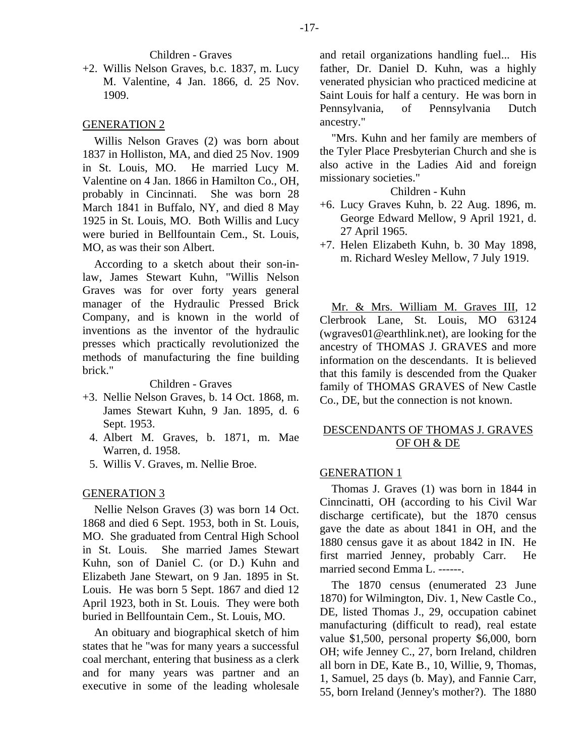#### Children - Graves

+2. Willis Nelson Graves, b.c. 1837, m. Lucy M. Valentine, 4 Jan. 1866, d. 25 Nov. 1909.

#### GENERATION 2

Willis Nelson Graves (2) was born about 1837 in Holliston, MA, and died 25 Nov. 1909 in St. Louis, MO. He married Lucy M. Valentine on 4 Jan. 1866 in Hamilton Co., OH, probably in Cincinnati. She was born 28 March 1841 in Buffalo, NY, and died 8 May 1925 in St. Louis, MO. Both Willis and Lucy were buried in Bellfountain Cem., St. Louis, MO, as was their son Albert.

According to a sketch about their son-inlaw, James Stewart Kuhn, "Willis Nelson Graves was for over forty years general manager of the Hydraulic Pressed Brick Company, and is known in the world of inventions as the inventor of the hydraulic presses which practically revolutionized the methods of manufacturing the fine building brick."

## Children - Graves

- +3. Nellie Nelson Graves, b. 14 Oct. 1868, m. James Stewart Kuhn, 9 Jan. 1895, d. 6 Sept. 1953.
	- 4. Albert M. Graves, b. 1871, m. Mae Warren, d. 1958.
	- 5. Willis V. Graves, m. Nellie Broe.

#### GENERATION 3

Nellie Nelson Graves (3) was born 14 Oct. 1868 and died 6 Sept. 1953, both in St. Louis, MO. She graduated from Central High School in St. Louis. She married James Stewart Kuhn, son of Daniel C. (or D.) Kuhn and Elizabeth Jane Stewart, on 9 Jan. 1895 in St. Louis. He was born 5 Sept. 1867 and died 12 April 1923, both in St. Louis. They were both buried in Bellfountain Cem., St. Louis, MO.

An obituary and biographical sketch of him states that he "was for many years a successful coal merchant, entering that business as a clerk and for many years was partner and an executive in some of the leading wholesale and retail organizations handling fuel... His father, Dr. Daniel D. Kuhn, was a highly venerated physician who practiced medicine at Saint Louis for half a century. He was born in Pennsylvania, of Pennsylvania Dutch ancestry."

"Mrs. Kuhn and her family are members of the Tyler Place Presbyterian Church and she is also active in the Ladies Aid and foreign missionary societies."

## Children - Kuhn

- +6. Lucy Graves Kuhn, b. 22 Aug. 1896, m. George Edward Mellow, 9 April 1921, d. 27 April 1965.
- +7. Helen Elizabeth Kuhn, b. 30 May 1898, m. Richard Wesley Mellow, 7 July 1919.

Mr. & Mrs. William M. Graves III, 12 Clerbrook Lane, St. Louis, MO 63124 (wgraves01@earthlink.net), are looking for the ancestry of THOMAS J. GRAVES and more information on the descendants. It is believed that this family is descended from the Quaker family of THOMAS GRAVES of New Castle Co., DE, but the connection is not known.

# DESCENDANTS OF THOMAS J. GRAVES OF OH & DE

## GENERATION 1

Thomas J. Graves (1) was born in 1844 in Cinncinatti, OH (according to his Civil War discharge certificate), but the 1870 census gave the date as about 1841 in OH, and the 1880 census gave it as about 1842 in IN. He first married Jenney, probably Carr. He married second Emma L. ------.

The 1870 census (enumerated 23 June 1870) for Wilmington, Div. 1, New Castle Co., DE, listed Thomas J., 29, occupation cabinet manufacturing (difficult to read), real estate value \$1,500, personal property \$6,000, born OH; wife Jenney C., 27, born Ireland, children all born in DE, Kate B., 10, Willie, 9, Thomas, 1, Samuel, 25 days (b. May), and Fannie Carr, 55, born Ireland (Jenney's mother?). The 1880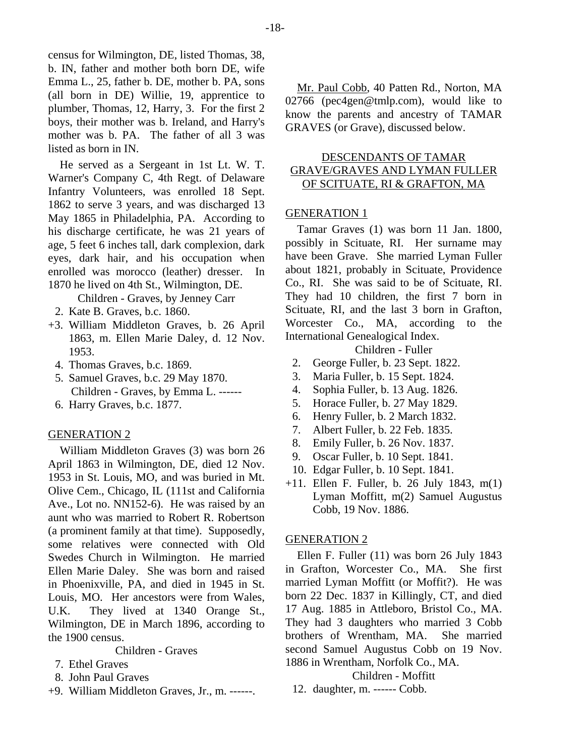census for Wilmington, DE, listed Thomas, 38, b. IN, father and mother both born DE, wife Emma L., 25, father b. DE, mother b. PA, sons (all born in DE) Willie, 19, apprentice to plumber, Thomas, 12, Harry, 3. For the first 2 boys, their mother was b. Ireland, and Harry's mother was b. PA. The father of all 3 was listed as born in IN.

He served as a Sergeant in 1st Lt. W. T. Warner's Company C, 4th Regt. of Delaware Infantry Volunteers, was enrolled 18 Sept. 1862 to serve 3 years, and was discharged 13 May 1865 in Philadelphia, PA. According to his discharge certificate, he was 21 years of age, 5 feet 6 inches tall, dark complexion, dark eyes, dark hair, and his occupation when enrolled was morocco (leather) dresser. In 1870 he lived on 4th St., Wilmington, DE.

Children - Graves, by Jenney Carr

- 2. Kate B. Graves, b.c. 1860.
- +3. William Middleton Graves, b. 26 April 1863, m. Ellen Marie Daley, d. 12 Nov. 1953.
	- 4. Thomas Graves, b.c. 1869.
	- 5. Samuel Graves, b.c. 29 May 1870. Children - Graves, by Emma L. ------
	- 6. Harry Graves, b.c. 1877.

## GENERATION 2

William Middleton Graves (3) was born 26 April 1863 in Wilmington, DE, died 12 Nov. 1953 in St. Louis, MO, and was buried in Mt. Olive Cem., Chicago, IL (111st and California Ave., Lot no. NN152-6). He was raised by an aunt who was married to Robert R. Robertson (a prominent family at that time). Supposedly, some relatives were connected with Old Swedes Church in Wilmington. He married Ellen Marie Daley. She was born and raised in Phoenixville, PA, and died in 1945 in St. Louis, MO. Her ancestors were from Wales, U.K. They lived at 1340 Orange St., Wilmington, DE in March 1896, according to the 1900 census.

Children - Graves

- 7. Ethel Graves
- 8. John Paul Graves
- +9. William Middleton Graves, Jr., m. ------.

Mr. Paul Cobb, 40 Patten Rd., Norton, MA 02766 (pec4gen@tmlp.com), would like to know the parents and ancestry of TAMAR GRAVES (or Grave), discussed below.

# DESCENDANTS OF TAMAR GRAVE/GRAVES AND LYMAN FULLER OF SCITUATE, RI & GRAFTON, MA

## GENERATION 1

Tamar Graves (1) was born 11 Jan. 1800, possibly in Scituate, RI. Her surname may have been Grave. She married Lyman Fuller about 1821, probably in Scituate, Providence Co., RI. She was said to be of Scituate, RI. They had 10 children, the first 7 born in Scituate, RI, and the last 3 born in Grafton, Worcester Co., MA, according to the International Genealogical Index.

Children - Fuller

- 2. George Fuller, b. 23 Sept. 1822.
- 3. Maria Fuller, b. 15 Sept. 1824.
- 4. Sophia Fuller, b. 13 Aug. 1826.
- 5. Horace Fuller, b. 27 May 1829.
- 6. Henry Fuller, b. 2 March 1832.
- 7. Albert Fuller, b. 22 Feb. 1835.
- 8. Emily Fuller, b. 26 Nov. 1837.
- 9. Oscar Fuller, b. 10 Sept. 1841.
- 10. Edgar Fuller, b. 10 Sept. 1841.
- +11. Ellen F. Fuller, b. 26 July 1843, m(1) Lyman Moffitt, m(2) Samuel Augustus Cobb, 19 Nov. 1886.

#### GENERATION 2

Ellen F. Fuller (11) was born 26 July 1843 in Grafton, Worcester Co., MA. She first married Lyman Moffitt (or Moffit?). He was born 22 Dec. 1837 in Killingly, CT, and died 17 Aug. 1885 in Attleboro, Bristol Co., MA. They had 3 daughters who married 3 Cobb brothers of Wrentham, MA. She married second Samuel Augustus Cobb on 19 Nov. 1886 in Wrentham, Norfolk Co., MA.

Children - Moffitt

12. daughter, m. ------ Cobb.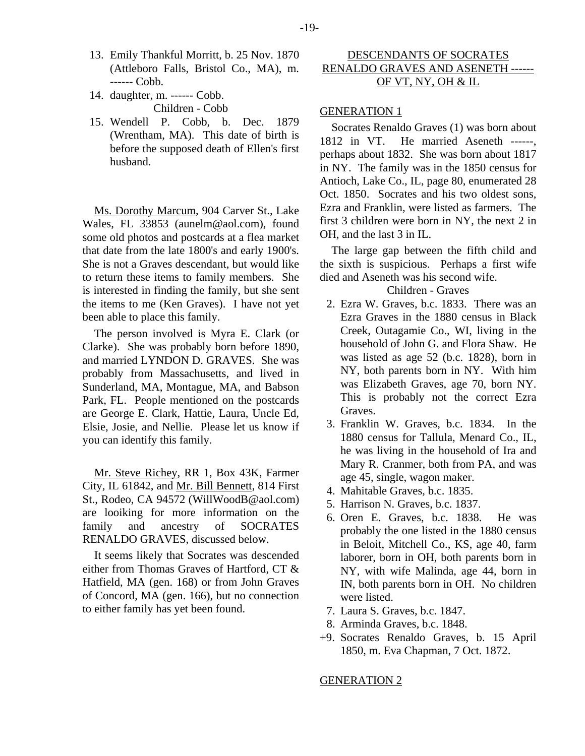- 13. Emily Thankful Morritt, b. 25 Nov. 1870 (Attleboro Falls, Bristol Co., MA), m. ------ Cobb.
- 14. daughter, m. ------ Cobb. Children - Cobb
- 15. Wendell P. Cobb, b. Dec. 1879 (Wrentham, MA). This date of birth is before the supposed death of Ellen's first husband.

Ms. Dorothy Marcum, 904 Carver St., Lake Wales, FL 33853 (aunelm@aol.com), found some old photos and postcards at a flea market that date from the late 1800's and early 1900's. She is not a Graves descendant, but would like to return these items to family members. She is interested in finding the family, but she sent the items to me (Ken Graves). I have not yet been able to place this family.

The person involved is Myra E. Clark (or Clarke). She was probably born before 1890, and married LYNDON D. GRAVES. She was probably from Massachusetts, and lived in Sunderland, MA, Montague, MA, and Babson Park, FL. People mentioned on the postcards are George E. Clark, Hattie, Laura, Uncle Ed, Elsie, Josie, and Nellie. Please let us know if you can identify this family.

Mr. Steve Richey, RR 1, Box 43K, Farmer City, IL 61842, and Mr. Bill Bennett, 814 First St., Rodeo, CA 94572 (WillWoodB@aol.com) are looiking for more information on the family and ancestry of SOCRATES RENALDO GRAVES, discussed below.

It seems likely that Socrates was descended either from Thomas Graves of Hartford, CT & Hatfield, MA (gen. 168) or from John Graves of Concord, MA (gen. 166), but no connection to either family has yet been found.

# DESCENDANTS OF SOCRATES RENALDO GRAVES AND ASENETH ------ OF VT, NY, OH & IL

## GENERATION 1

Socrates Renaldo Graves (1) was born about 1812 in VT. He married Aseneth ------, perhaps about 1832. She was born about 1817 in NY. The family was in the 1850 census for Antioch, Lake Co., IL, page 80, enumerated 28 Oct. 1850. Socrates and his two oldest sons, Ezra and Franklin, were listed as farmers. The first 3 children were born in NY, the next 2 in OH, and the last 3 in IL.

The large gap between the fifth child and the sixth is suspicious. Perhaps a first wife died and Aseneth was his second wife.

## Children - Graves

- 2. Ezra W. Graves, b.c. 1833. There was an Ezra Graves in the 1880 census in Black Creek, Outagamie Co., WI, living in the household of John G. and Flora Shaw. He was listed as age 52 (b.c. 1828), born in NY, both parents born in NY. With him was Elizabeth Graves, age 70, born NY. This is probably not the correct Ezra Graves.
- 3. Franklin W. Graves, b.c. 1834. In the 1880 census for Tallula, Menard Co., IL, he was living in the household of Ira and Mary R. Cranmer, both from PA, and was age 45, single, wagon maker.
- 4. Mahitable Graves, b.c. 1835.
- 5. Harrison N. Graves, b.c. 1837.
- 6. Oren E. Graves, b.c. 1838. He was probably the one listed in the 1880 census in Beloit, Mitchell Co., KS, age 40, farm laborer, born in OH, both parents born in NY, with wife Malinda, age 44, born in IN, both parents born in OH. No children were listed.
- 7. Laura S. Graves, b.c. 1847.
- 8. Arminda Graves, b.c. 1848.
- +9. Socrates Renaldo Graves, b. 15 April 1850, m. Eva Chapman, 7 Oct. 1872.

#### GENERATION 2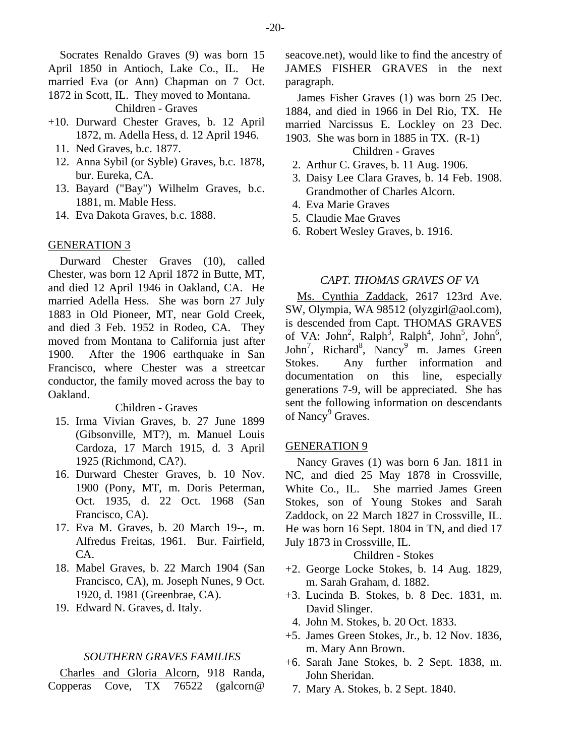Socrates Renaldo Graves (9) was born 15 April 1850 in Antioch, Lake Co., IL. He married Eva (or Ann) Chapman on 7 Oct. 1872 in Scott, IL. They moved to Montana.

Children - Graves

- +10. Durward Chester Graves, b. 12 April 1872, m. Adella Hess, d. 12 April 1946.
	- 11. Ned Graves, b.c. 1877.
	- 12. Anna Sybil (or Syble) Graves, b.c. 1878, bur. Eureka, CA.
	- 13. Bayard ("Bay") Wilhelm Graves, b.c. 1881, m. Mable Hess.
	- 14. Eva Dakota Graves, b.c. 1888.

#### GENERATION 3

Durward Chester Graves (10), called Chester, was born 12 April 1872 in Butte, MT, and died 12 April 1946 in Oakland, CA. He married Adella Hess. She was born 27 July 1883 in Old Pioneer, MT, near Gold Creek, and died 3 Feb. 1952 in Rodeo, CA. They moved from Montana to California just after 1900. After the 1906 earthquake in San Francisco, where Chester was a streetcar conductor, the family moved across the bay to Oakland.

Children - Graves

- 15. Irma Vivian Graves, b. 27 June 1899 (Gibsonville, MT?), m. Manuel Louis Cardoza, 17 March 1915, d. 3 April 1925 (Richmond, CA?).
- 16. Durward Chester Graves, b. 10 Nov. 1900 (Pony, MT, m. Doris Peterman, Oct. 1935, d. 22 Oct. 1968 (San Francisco, CA).
- 17. Eva M. Graves, b. 20 March 19--, m. Alfredus Freitas, 1961. Bur. Fairfield, CA.
- 18. Mabel Graves, b. 22 March 1904 (San Francisco, CA), m. Joseph Nunes, 9 Oct. 1920, d. 1981 (Greenbrae, CA).
- 19. Edward N. Graves, d. Italy.

## *SOUTHERN GRAVES FAMILIES*

Charles and Gloria Alcorn, 918 Randa, Copperas Cove, TX 76522 (galcorn@ seacove.net), would like to find the ancestry of JAMES FISHER GRAVES in the next paragraph.

James Fisher Graves (1) was born 25 Dec. 1884, and died in 1966 in Del Rio, TX. He married Narcissus E. Lockley on 23 Dec. 1903. She was born in 1885 in TX. (R-1)

#### Children - Graves

- 2. Arthur C. Graves, b. 11 Aug. 1906.
- 3. Daisy Lee Clara Graves, b. 14 Feb. 1908. Grandmother of Charles Alcorn.
- 4. Eva Marie Graves
- 5. Claudie Mae Graves
- 6. Robert Wesley Graves, b. 1916.

## *CAPT. THOMAS GRAVES OF VA*

Ms. Cynthia Zaddack, 2617 123rd Ave. SW, Olympia, WA 98512 (olyzgirl@aol.com), is descended from Capt. THOMAS GRAVES of VA: John<sup>2</sup>, Ralph<sup>3</sup>, Ralph<sup>4</sup>, John<sup>5</sup>, John<sup>6</sup>, John<sup>7</sup>, Richard<sup>8</sup>, Nancy<sup>9</sup> m. James Green Stokes. Any further information and documentation on this line, especially generations 7-9, will be appreciated. She has sent the following information on descendants of Nancy<sup>9</sup> Graves.

## GENERATION 9

Nancy Graves (1) was born 6 Jan. 1811 in NC, and died 25 May 1878 in Crossville, White Co., IL. She married James Green Stokes, son of Young Stokes and Sarah Zaddock, on 22 March 1827 in Crossville, IL. He was born 16 Sept. 1804 in TN, and died 17 July 1873 in Crossville, IL.

#### Children - Stokes

- +2. George Locke Stokes, b. 14 Aug. 1829, m. Sarah Graham, d. 1882.
- +3. Lucinda B. Stokes, b. 8 Dec. 1831, m. David Slinger.
	- 4. John M. Stokes, b. 20 Oct. 1833.
- +5. James Green Stokes, Jr., b. 12 Nov. 1836, m. Mary Ann Brown.
- +6. Sarah Jane Stokes, b. 2 Sept. 1838, m. John Sheridan.
	- 7. Mary A. Stokes, b. 2 Sept. 1840.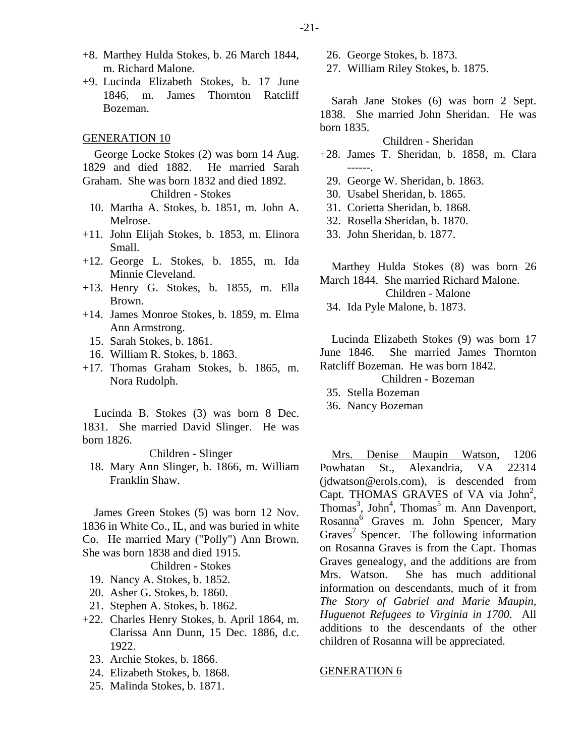- +8. Marthey Hulda Stokes, b. 26 March 1844, m. Richard Malone.
- +9. Lucinda Elizabeth Stokes, b. 17 June 1846, m. James Thornton Ratcliff Bozeman.

#### GENERATION 10

George Locke Stokes (2) was born 14 Aug. 1829 and died 1882. He married Sarah Graham. She was born 1832 and died 1892.

Children - Stokes

- 10. Martha A. Stokes, b. 1851, m. John A. Melrose.
- +11. John Elijah Stokes, b. 1853, m. Elinora Small.
- +12. George L. Stokes, b. 1855, m. Ida Minnie Cleveland.
- +13. Henry G. Stokes, b. 1855, m. Ella Brown.
- +14. James Monroe Stokes, b. 1859, m. Elma Ann Armstrong.
	- 15. Sarah Stokes, b. 1861.
	- 16. William R. Stokes, b. 1863.
- +17. Thomas Graham Stokes, b. 1865, m. Nora Rudolph.

Lucinda B. Stokes (3) was born 8 Dec. 1831. She married David Slinger. He was born 1826.

Children - Slinger

 18. Mary Ann Slinger, b. 1866, m. William Franklin Shaw.

James Green Stokes (5) was born 12 Nov. 1836 in White Co., IL, and was buried in white Co. He married Mary ("Polly") Ann Brown. She was born 1838 and died 1915.

Children - Stokes

- 19. Nancy A. Stokes, b. 1852.
- 20. Asher G. Stokes, b. 1860.
- 21. Stephen A. Stokes, b. 1862.
- +22. Charles Henry Stokes, b. April 1864, m. Clarissa Ann Dunn, 15 Dec. 1886, d.c. 1922.
	- 23. Archie Stokes, b. 1866.
	- 24. Elizabeth Stokes, b. 1868.
	- 25. Malinda Stokes, b. 1871.

26. George Stokes, b. 1873.

27. William Riley Stokes, b. 1875.

Sarah Jane Stokes (6) was born 2 Sept. 1838. She married John Sheridan. He was born 1835.

Children - Sheridan

- +28. James T. Sheridan, b. 1858, m. Clara ------.
- 29. George W. Sheridan, b. 1863.
- 30. Usabel Sheridan, b. 1865.
- 31. Corietta Sheridan, b. 1868.
- 32. Rosella Sheridan, b. 1870.
- 33. John Sheridan, b. 1877.

Marthey Hulda Stokes (8) was born 26 March 1844. She married Richard Malone.

Children - Malone

34. Ida Pyle Malone, b. 1873.

Lucinda Elizabeth Stokes (9) was born 17 June 1846. She married James Thornton Ratcliff Bozeman. He was born 1842.

# Children - Bozeman

35. Stella Bozeman

36. Nancy Bozeman

Mrs. Denise Maupin Watson, 1206 Powhatan St., Alexandria, VA 22314 (jdwatson@erols.com), is descended from Capt. THOMAS GRAVES of VA via John<sup>2</sup>, Thomas<sup>3</sup>, John<sup>4</sup>, Thomas<sup>5</sup> m. Ann Davenport, Rosanna<sup>6</sup> Graves m. John Spencer, Mary Graves<sup>7</sup> Spencer. The following information on Rosanna Graves is from the Capt. Thomas Graves genealogy, and the additions are from Mrs. Watson. She has much additional information on descendants, much of it from *The Story of Gabriel and Marie Maupin, Huguenot Refugees to Virginia in 1700*. All additions to the descendants of the other children of Rosanna will be appreciated.

#### GENERATION 6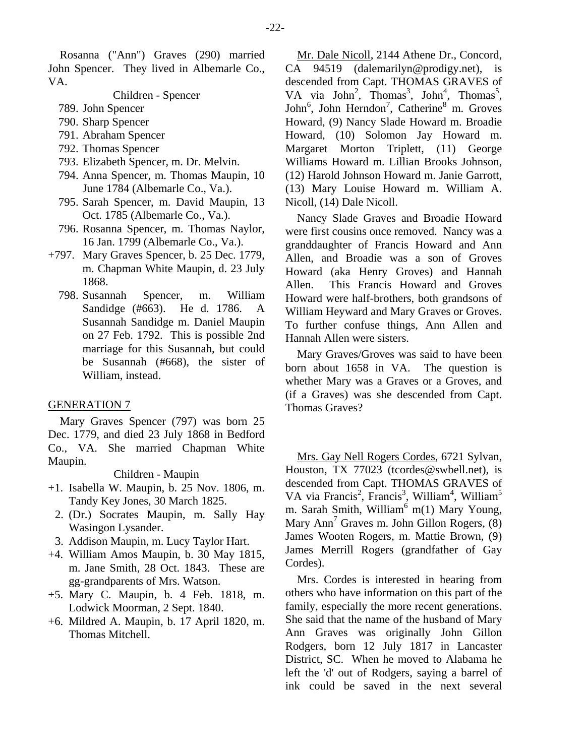Rosanna ("Ann") Graves (290) married John Spencer. They lived in Albemarle Co., VA.

Children - Spencer

- 789. John Spencer
- 790. Sharp Spencer
- 791. Abraham Spencer
- 792. Thomas Spencer
- 793. Elizabeth Spencer, m. Dr. Melvin.
- 794. Anna Spencer, m. Thomas Maupin, 10 June 1784 (Albemarle Co., Va.).
- 795. Sarah Spencer, m. David Maupin, 13 Oct. 1785 (Albemarle Co., Va.).
- 796. Rosanna Spencer, m. Thomas Naylor, 16 Jan. 1799 (Albemarle Co., Va.).
- +797. Mary Graves Spencer, b. 25 Dec. 1779, m. Chapman White Maupin, d. 23 July 1868.
	- 798. Susannah Spencer, m. William Sandidge (#663). He d. 1786. A Susannah Sandidge m. Daniel Maupin on 27 Feb. 1792. This is possible 2nd marriage for this Susannah, but could be Susannah (#668), the sister of William, instead.

### GENERATION 7

Mary Graves Spencer (797) was born 25 Dec. 1779, and died 23 July 1868 in Bedford Co., VA. She married Chapman White Maupin.

#### Children - Maupin

- +1. Isabella W. Maupin, b. 25 Nov. 1806, m. Tandy Key Jones, 30 March 1825.
	- 2. (Dr.) Socrates Maupin, m. Sally Hay Wasingon Lysander.
- 3. Addison Maupin, m. Lucy Taylor Hart.
- +4. William Amos Maupin, b. 30 May 1815, m. Jane Smith, 28 Oct. 1843. These are gg-grandparents of Mrs. Watson.
- +5. Mary C. Maupin, b. 4 Feb. 1818, m. Lodwick Moorman, 2 Sept. 1840.
- +6. Mildred A. Maupin, b. 17 April 1820, m. Thomas Mitchell.

Mr. Dale Nicoll, 2144 Athene Dr., Concord, CA 94519 (dalemarilyn@prodigy.net), is descended from Capt. THOMAS GRAVES of VA via John<sup>2</sup>, Thomas<sup>3</sup>, John<sup>4</sup>, Thomas<sup>5</sup>, John<sup>6</sup>, John Herndon<sup>7</sup>, Catherine<sup>8</sup> m. Groves Howard, (9) Nancy Slade Howard m. Broadie Howard, (10) Solomon Jay Howard m. Margaret Morton Triplett, (11) George Williams Howard m. Lillian Brooks Johnson, (12) Harold Johnson Howard m. Janie Garrott, (13) Mary Louise Howard m. William A. Nicoll, (14) Dale Nicoll.

Nancy Slade Graves and Broadie Howard were first cousins once removed. Nancy was a granddaughter of Francis Howard and Ann Allen, and Broadie was a son of Groves Howard (aka Henry Groves) and Hannah Allen. This Francis Howard and Groves Howard were half-brothers, both grandsons of William Heyward and Mary Graves or Groves. To further confuse things, Ann Allen and Hannah Allen were sisters.

Mary Graves/Groves was said to have been born about 1658 in VA. The question is whether Mary was a Graves or a Groves, and (if a Graves) was she descended from Capt. Thomas Graves?

Mrs. Gay Nell Rogers Cordes, 6721 Sylvan, Houston, TX 77023 (tcordes@swbell.net), is descended from Capt. THOMAS GRAVES of VA via Francis<sup>2</sup>, Francis<sup>3</sup>, William<sup>4</sup>, William<sup>5</sup> m. Sarah Smith, William<sup>6</sup> m(1) Mary Young, Mary Ann<sup>7</sup> Graves m. John Gillon Rogers, (8) James Wooten Rogers, m. Mattie Brown, (9) James Merrill Rogers (grandfather of Gay Cordes).

Mrs. Cordes is interested in hearing from others who have information on this part of the family, especially the more recent generations. She said that the name of the husband of Mary Ann Graves was originally John Gillon Rodgers, born 12 July 1817 in Lancaster District, SC. When he moved to Alabama he left the 'd' out of Rodgers, saying a barrel of ink could be saved in the next several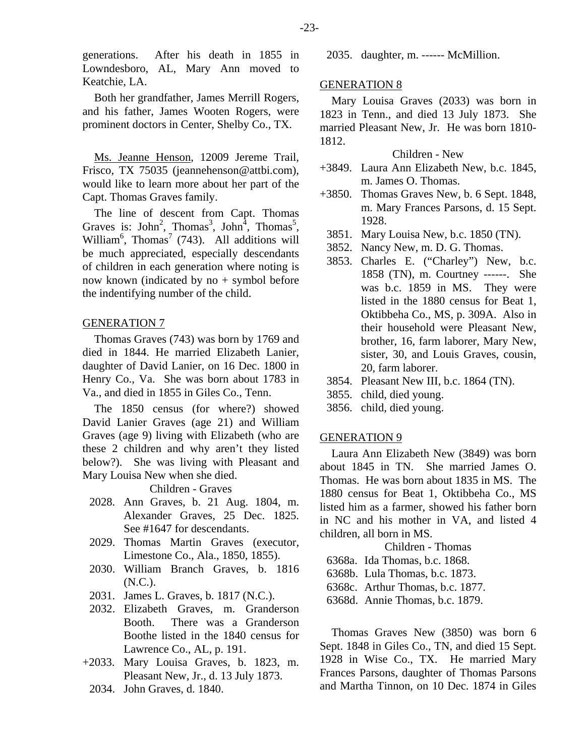generations. After his death in 1855 in Lowndesboro, AL, Mary Ann moved to Keatchie, LA.

Both her grandfather, James Merrill Rogers, and his father, James Wooten Rogers, were prominent doctors in Center, Shelby Co., TX.

Ms. Jeanne Henson, 12009 Jereme Trail, Frisco, TX 75035 (jeannehenson@attbi.com), would like to learn more about her part of the Capt. Thomas Graves family.

The line of descent from Capt. Thomas Graves is: John<sup>2</sup>, Thomas<sup>3</sup>, John<sup>4</sup>, Thomas<sup>5</sup>, William<sup>6</sup>, Thomas<sup>7</sup> (743). All additions will be much appreciated, especially descendants of children in each generation where noting is now known (indicated by  $no + symbol before$ the indentifying number of the child.

#### GENERATION 7

Thomas Graves (743) was born by 1769 and died in 1844. He married Elizabeth Lanier, daughter of David Lanier, on 16 Dec. 1800 in Henry Co., Va. She was born about 1783 in Va., and died in 1855 in Giles Co., Tenn.

The 1850 census (for where?) showed David Lanier Graves (age 21) and William Graves (age 9) living with Elizabeth (who are these 2 children and why aren't they listed below?). She was living with Pleasant and Mary Louisa New when she died.

Children - Graves

- 2028. Ann Graves, b. 21 Aug. 1804, m. Alexander Graves, 25 Dec. 1825. See #1647 for descendants.
- 2029. Thomas Martin Graves (executor, Limestone Co., Ala., 1850, 1855).
- 2030. William Branch Graves, b. 1816 (N.C.).
- 2031. James L. Graves, b. 1817 (N.C.).
- 2032. Elizabeth Graves, m. Granderson Booth. There was a Granderson Boothe listed in the 1840 census for Lawrence Co., AL, p. 191.
- +2033. Mary Louisa Graves, b. 1823, m. Pleasant New, Jr., d. 13 July 1873.
- 2034. John Graves, d. 1840.

2035. daughter, m. ------ McMillion.

#### GENERATION 8

Mary Louisa Graves (2033) was born in 1823 in Tenn., and died 13 July 1873. She married Pleasant New, Jr. He was born 1810- 1812.

Children - New

- +3849. Laura Ann Elizabeth New, b.c. 1845, m. James O. Thomas.
- +3850. Thomas Graves New, b. 6 Sept. 1848, m. Mary Frances Parsons, d. 15 Sept. 1928.
	- 3851. Mary Louisa New, b.c. 1850 (TN).
- 3852. Nancy New, m. D. G. Thomas.
- 3853. Charles E. ("Charley") New, b.c. 1858 (TN), m. Courtney ------. She was b.c. 1859 in MS. They were listed in the 1880 census for Beat 1, Oktibbeha Co., MS, p. 309A. Also in their household were Pleasant New, brother, 16, farm laborer, Mary New, sister, 30, and Louis Graves, cousin, 20, farm laborer.
- 3854. Pleasant New III, b.c. 1864 (TN).
- 3855. child, died young.
- 3856. child, died young.

## GENERATION 9

Laura Ann Elizabeth New (3849) was born about 1845 in TN. She married James O. Thomas. He was born about 1835 in MS. The 1880 census for Beat 1, Oktibbeha Co., MS listed him as a farmer, showed his father born in NC and his mother in VA, and listed 4 children, all born in MS.

Children - Thomas

6368a. Ida Thomas, b.c. 1868.

6368b. Lula Thomas, b.c. 1873.

6368c. Arthur Thomas, b.c. 1877.

6368d. Annie Thomas, b.c. 1879.

Thomas Graves New (3850) was born 6 Sept. 1848 in Giles Co., TN, and died 15 Sept. 1928 in Wise Co., TX. He married Mary Frances Parsons, daughter of Thomas Parsons and Martha Tinnon, on 10 Dec. 1874 in Giles